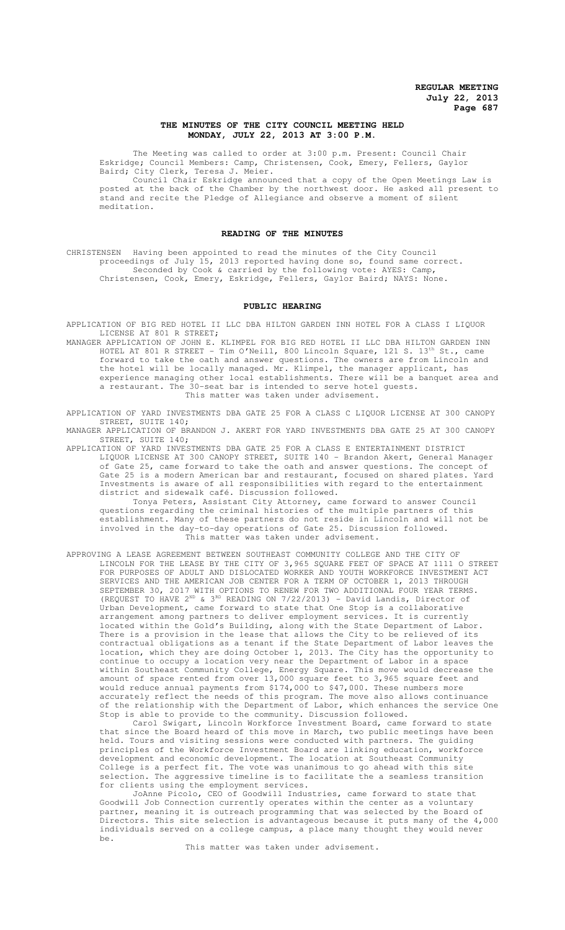### **THE MINUTES OF THE CITY COUNCIL MEETING HELD MONDAY, JULY 22, 2013 AT 3:00 P.M.**

The Meeting was called to order at 3:00 p.m. Present: Council Chair Eskridge; Council Members: Camp, Christensen, Cook, Emery, Fellers, Gaylor Baird; City Clerk, Teresa J. Meier.

Council Chair Eskridge announced that a copy of the Open Meetings Law is posted at the back of the Chamber by the northwest door. He asked all present to stand and recite the Pledge of Allegiance and observe a moment of silent meditation.

### **READING OF THE MINUTES**

CHRISTENSEN Having been appointed to read the minutes of the City Council proceedings of July 15, 2013 reported having done so, found same correct. Seconded by Cook & carried by the following vote: AYES: Camp, Christensen, Cook, Emery, Eskridge, Fellers, Gaylor Baird; NAYS: None.

#### **PUBLIC HEARING**

APPLICATION OF BIG RED HOTEL II LLC DBA HILTON GARDEN INN HOTEL FOR A CLASS I LIQUOR LICENSE AT 801 R STREET;

MANAGER APPLICATION OF JOHN E. KLIMPEL FOR BIG RED HOTEL II LLC DBA HILTON GARDEN INN HOTEL AT 801 R STREET - Tim O'Neill, 800 Lincoln Square, 121 S. 13th St., came forward to take the oath and answer questions. The owners are from Lincoln and the hotel will be locally managed. Mr. Klimpel, the manager applicant, has experience managing other local establishments. There will be a banquet area and a restaurant. The 30-seat bar is intended to serve hotel guests. This matter was taken under advisement.

APPLICATION OF YARD INVESTMENTS DBA GATE 25 FOR A CLASS C LIQUOR LICENSE AT 300 CANOPY STREET, SUITE 140;

MANAGER APPLICATION OF BRANDON J. AKERT FOR YARD INVESTMENTS DBA GATE 25 AT 300 CANOPY STREET, SUITE 140;

APPLICATION OF YARD INVESTMENTS DBA GATE 25 FOR A CLASS E ENTERTAINMENT DISTRICT LIQUOR LICENSE AT 300 CANOPY STREET, SUITE 140 - Brandon Akert, General Manager of Gate 25, came forward to take the oath and answer questions. The concept of Gate 25 is a modern American bar and restaurant, focused on shared plates. Yard Investments is aware of all responsibilities with regard to the entertainment district and sidewalk café. Discussion followed.

Tonya Peters, Assistant City Attorney, came forward to answer Council questions regarding the criminal histories of the multiple partners of this establishment. Many of these partners do not reside in Lincoln and will not be involved in the day-to-day operations of Gate 25. Discussion followed. This matter was taken under advisement.

APPROVING A LEASE AGREEMENT BETWEEN SOUTHEAST COMMUNITY COLLEGE AND THE CITY OF LINCOLN FOR THE LEASE BY THE CITY OF 3,965 SQUARE FEET OF SPACE AT 1111 O STREET FOR PURPOSES OF ADULT AND DISLOCATED WORKER AND YOUTH WORKFORCE INVESTMENT ACT SERVICES AND THE AMERICAN JOB CENTER FOR A TERM OF OCTOBER 1, 2013 THROUGH SEPTEMBER 30, 2017 WITH OPTIONS TO RENEW FOR TWO ADDITIONAL FOUR YEAR TERMS. (REQUEST TO HAVE 2<sup>ND</sup> & 3<sup>RD</sup> READING ON 7/22/2013) - David Landis, Director of Urban Development, came forward to state that One Stop is a collaborative arrangement among partners to deliver employment services. It is currently located within the Gold's Building, along with the State Department of Labor. There is a provision in the lease that allows the City to be relieved of its contractual obligations as a tenant if the State Department of Labor leaves the location, which they are doing October 1, 2013. The City has the opportunity to continue to occupy a location very near the Department of Labor in a space within Southeast Community College, Energy Square. This move would decrease the amount of space rented from over 13,000 square feet to 3,965 square feet and would reduce annual payments from \$174,000 to \$47,000. These numbers more accurately reflect the needs of this program. The move also allows continuance of the relationship with the Department of Labor, which enhances the service One Stop is able to provide to the community. Discussion followed.

Carol Swigart, Lincoln Workforce Investment Board, came forward to state that since the Board heard of this move in March, two public meetings have been held. Tours and visiting sessions were conducted with partners. The guiding principles of the Workforce Investment Board are linking education, workforce development and economic development. The location at Southeast Community College is a perfect fit. The vote was unanimous to go ahead with this site selection. The aggressive timeline is to facilitate the a seamless transition for clients using the employment services.

JoAnne Picolo, CEO of Goodwill Industries, came forward to state that Goodwill Job Connection currently operates within the center as a voluntary partner, meaning it is outreach programming that was selected by the Board of Directors. This site selection is advantageous because it puts many of the 4,000 individuals served on a college campus, a place many thought they would never be.

This matter was taken under advisement.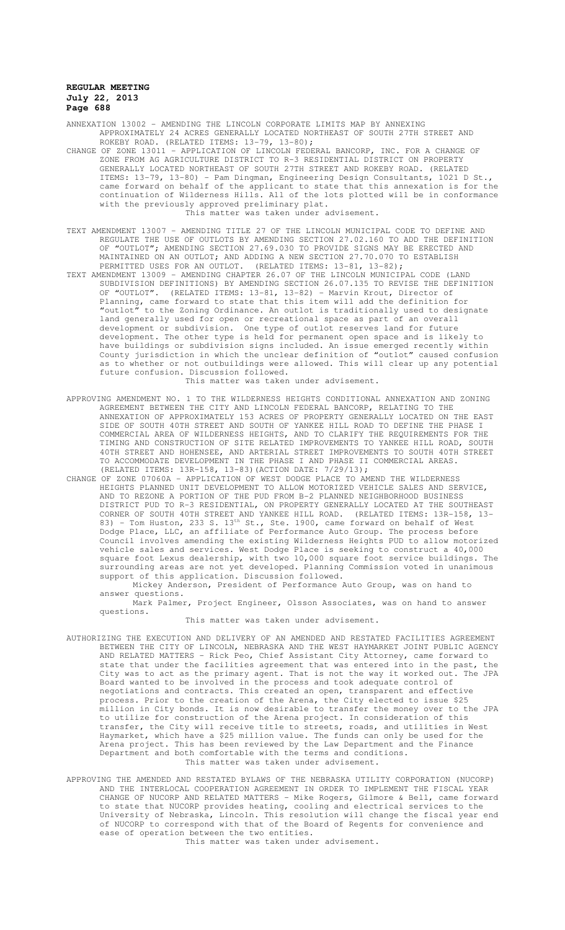ANNEXATION 13002 – AMENDING THE LINCOLN CORPORATE LIMITS MAP BY ANNEXING APPROXIMATELY 24 ACRES GENERALLY LOCATED NORTHEAST OF SOUTH 27TH STREET AND ROKEBY ROAD. (RELATED ITEMS: 13-79, 13-80);

- CHANGE OF ZONE 13011 APPLICATION OF LINCOLN FEDERAL BANCORP, INC. FOR A CHANGE OF ZONE FROM AG AGRICULTURE DISTRICT TO R-3 RESIDENTIAL DISTRICT ON PROPERTY GENERALLY LOCATED NORTHEAST OF SOUTH 27TH STREET AND ROKEBY ROAD. (RELATED ITEMS: 13-79, 13-80) - Pam Dingman, Engineering Design Consultants, 1021 D St., came forward on behalf of the applicant to state that this annexation is for the continuation of Wilderness Hills. All of the lots plotted will be in conformance with the previously approved preliminary plat. This matter was taken under advisement.
- TEXT AMENDMENT 13007 AMENDING TITLE 27 OF THE LINCOLN MUNICIPAL CODE TO DEFINE AND REGULATE THE USE OF OUTLOTS BY AMENDING SECTION 27.02.160 TO ADD THE DEFINITION OF "OUTLOT"; AMENDING SECTION 27.69.030 TO PROVIDE SIGNS MAY BE ERECTED AND MAINTAINED ON AN OUTLOT; AND ADDING A NEW SECTION 27.70.070 TO ESTABLISH PERMITTED USES FOR AN OUTLOT. (RELATED ITEMS: 13-81, 13-82);
- TEXT AMENDMENT 13009 AMENDING CHAPTER 26.07 OF THE LINCOLN MUNICIPAL CODE (LAND SUBDIVISION DEFINITIONS) BY AMENDING SECTION 26.07.135 TO REVISE THE DEFINITION OF "OUTLOT". (RELATED ITEMS: 13-81, 13-82) - Marvin Krout, Director of Planning, came forward to state that this item will add the definition for "outlot" to the Zoning Ordinance. An outlot is traditionally used to designate land generally used for open or recreational space as part of an overall development or subdivision. One type of outlot reserves land for future development. The other type is held for permanent open space and is likely to have buildings or subdivision signs included. An issue emerged recently within County jurisdiction in which the unclear definition of "outlot" caused confusion as to whether or not outbuildings were allowed. This will clear up any potential future confusion. Discussion followed. This matter was taken under advisement.
- APPROVING AMENDMENT NO. 1 TO THE WILDERNESS HEIGHTS CONDITIONAL ANNEXATION AND ZONING AGREEMENT BETWEEN THE CITY AND LINCOLN FEDERAL BANCORP, RELATING TO THE ANNEXATION OF APPROXIMATELY 153 ACRES OF PROPERTY GENERALLY LOCATED ON THE EAST SIDE OF SOUTH 40TH STREET AND SOUTH OF YANKEE HILL ROAD TO DEFINE THE PHASE I COMMERCIAL AREA OF WILDERNESS HEIGHTS, AND TO CLARIFY THE REQUIREMENTS FOR THE TIMING AND CONSTRUCTION OF SITE RELATED IMPROVEMENTS TO YANKEE HILL ROAD, SOUTH 40TH STREET AND HOHENSEE, AND ARTERIAL STREET IMPROVEMENTS TO SOUTH 40TH STREET TO ACCOMMODATE DEVELOPMENT IN THE PHASE I AND PHASE II COMMERCIAL AREAS. (RELATED ITEMS: 13R-158, 13-83)(ACTION DATE: 7/29/13);
- CHANGE OF ZONE 07060A APPLICATION OF WEST DODGE PLACE TO AMEND THE WILDERNESS HEIGHTS PLANNED UNIT DEVELOPMENT TO ALLOW MOTORIZED VEHICLE SALES AND SERVICE, AND TO REZONE A PORTION OF THE PUD FROM B-2 PLANNED NEIGHBORHOOD BUSINESS DISTRICT PUD TO R-3 RESIDENTIAL, ON PROPERTY GENERALLY LOCATED AT THE SOUTHEAST CORNER OF SOUTH 40TH STREET AND YANKEE HILL ROAD. (RELATED ITEMS: 13R-158, 13- 83) - Tom Huston, 233 S.  $13<sup>th</sup>$  St., Ste. 1900, came forward on behalf of West Dodge Place, LLC, an affiliate of Performance Auto Group. The process before Council involves amending the existing Wilderness Heights PUD to allow motorized vehicle sales and services. West Dodge Place is seeking to construct a 40,000 square foot Lexus dealership, with two 10,000 square foot service buildings. The surrounding areas are not yet developed. Planning Commission voted in unanimous support of this application. Discussion followed.

Mickey Anderson, President of Performance Auto Group, was on hand to answer questions.

Mark Palmer, Project Engineer, Olsson Associates, was on hand to answer questions.

This matter was taken under advisement.

- AUTHORIZING THE EXECUTION AND DELIVERY OF AN AMENDED AND RESTATED FACILITIES AGREEMENT BETWEEN THE CITY OF LINCOLN, NEBRASKA AND THE WEST HAYMARKET JOINT PUBLIC AGENCY AND RELATED MATTERS - Rick Peo, Chief Assistant City Attorney, came forward to state that under the facilities agreement that was entered into in the past, the City was to act as the primary agent. That is not the way it worked out. The JPA Board wanted to be involved in the process and took adequate control of negotiations and contracts. This created an open, transparent and effective process. Prior to the creation of the Arena, the City elected to issue \$25 million in City bonds. It is now desirable to transfer the money over to the JPA to utilize for construction of the Arena project. In consideration of this transfer, the City will receive title to streets, roads, and utilities in West Haymarket, which have a \$25 million value. The funds can only be used for the Arena project. This has been reviewed by the Law Department and the Finance Department and both comfortable with the terms and conditions. This matter was taken under advisement.
- APPROVING THE AMENDED AND RESTATED BYLAWS OF THE NEBRASKA UTILITY CORPORATION (NUCORP) AND THE INTERLOCAL COOPERATION AGREEMENT IN ORDER TO IMPLEMENT THE FISCAL YEAR CHANGE OF NUCORP AND RELATED MATTERS - Mike Rogers, Gilmore & Bell, came forward to state that NUCORP provides heating, cooling and electrical services to the University of Nebraska, Lincoln. This resolution will change the fiscal year end of NUCORP to correspond with that of the Board of Regents for convenience and ease of operation between the two entities.

This matter was taken under advisement.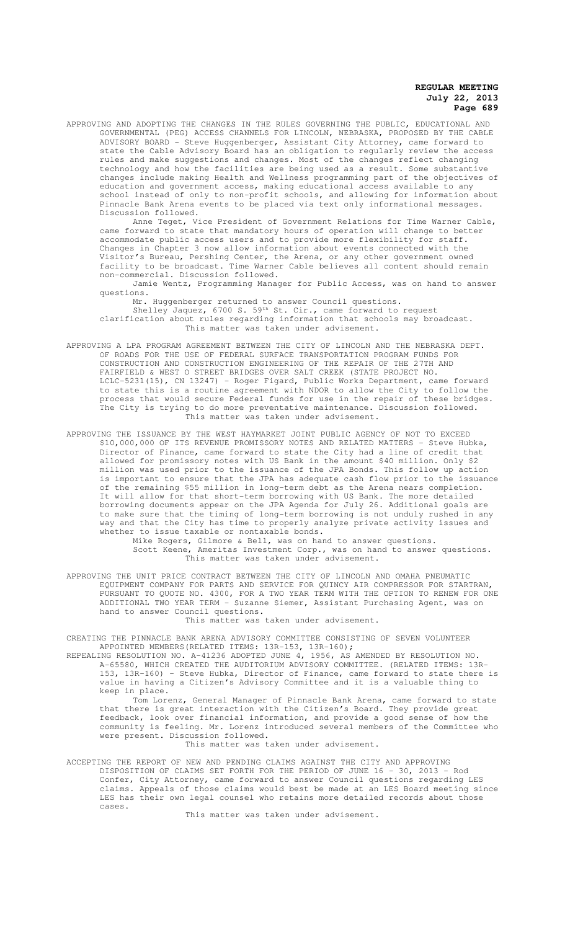APPROVING AND ADOPTING THE CHANGES IN THE RULES GOVERNING THE PUBLIC, EDUCATIONAL AND GOVERNMENTAL (PEG) ACCESS CHANNELS FOR LINCOLN, NEBRASKA, PROPOSED BY THE CABLE ADVISORY BOARD - Steve Huggenberger, Assistant City Attorney, came forward to state the Cable Advisory Board has an obligation to regularly review the access rules and make suggestions and changes. Most of the changes reflect changing technology and how the facilities are being used as a result. Some substantive changes include making Health and Wellness programming part of the objectives of education and government access, making educational access available to any school instead of only to non-profit schools, and allowing for information about Pinnacle Bank Arena events to be placed via text only informational messages. Discussion followed.

Anne Teget, Vice President of Government Relations for Time Warner Cable, came forward to state that mandatory hours of operation will change to better accommodate public access users and to provide more flexibility for staff. Changes in Chapter 3 now allow information about events connected with the Visitor's Bureau, Pershing Center, the Arena, or any other government owned facility to be broadcast. Time Warner Cable believes all content should remain non-commercial. Discussion followed.

Jamie Wentz, Programming Manager for Public Access, was on hand to answer questions.

Mr. Huggenberger returned to answer Council questions. Shelley Jaquez, 6700 S.  $59<sup>th</sup>$  St. Cir., came forward to request clarification about rules regarding information that schools may broadcast. This matter was taken under advisement.

- APPROVING A LPA PROGRAM AGREEMENT BETWEEN THE CITY OF LINCOLN AND THE NEBRASKA DEPT. OF ROADS FOR THE USE OF FEDERAL SURFACE TRANSPORTATION PROGRAM FUNDS FOR CONSTRUCTION AND CONSTRUCTION ENGINEERING OF THE REPAIR OF THE 27TH AND FAIRFIELD & WEST O STREET BRIDGES OVER SALT CREEK (STATE PROJECT NO. LCLC-5231(15), CN 13247) - Roger Figard, Public Works Department, came forward to state this is a routine agreement with NDOR to allow the City to follow the process that would secure Federal funds for use in the repair of these bridges. The City is trying to do more preventative maintenance. Discussion followed. This matter was taken under advisement.
- APPROVING THE ISSUANCE BY THE WEST HAYMARKET JOINT PUBLIC AGENCY OF NOT TO EXCEED \$10,000,000 OF ITS REVENUE PROMISSORY NOTES AND RELATED MATTERS - Steve Hubka, Director of Finance, came forward to state the City had a line of credit that allowed for promissory notes with US Bank in the amount \$40 million. Only \$2 million was used prior to the issuance of the JPA Bonds. This follow up action is important to ensure that the JPA has adequate cash flow prior to the issuance of the remaining \$55 million in long-term debt as the Arena nears completion. It will allow for that short-term borrowing with US Bank. The more detailed borrowing documents appear on the JPA Agenda for July 26. Additional goals are to make sure that the timing of long-term borrowing is not unduly rushed in any way and that the City has time to properly analyze private activity issues and whether to issue taxable or nontaxable bonds.

Mike Rogers, Gilmore & Bell, was on hand to answer questions. Scott Keene, Ameritas Investment Corp., was on hand to answer questions. This matter was taken under advisement.

APPROVING THE UNIT PRICE CONTRACT BETWEEN THE CITY OF LINCOLN AND OMAHA PNEUMATIC EQUIPMENT COMPANY FOR PARTS AND SERVICE FOR QUINCY AIR COMPRESSOR FOR STARTRAN, PURSUANT TO QUOTE NO. 4300, FOR A TWO YEAR TERM WITH THE OPTION TO RENEW FOR ONE ADDITIONAL TWO YEAR TERM - Suzanne Siemer, Assistant Purchasing Agent, was on hand to answer Council questions.

This matter was taken under advisement.

CREATING THE PINNACLE BANK ARENA ADVISORY COMMITTEE CONSISTING OF SEVEN VOLUNTEER APPOINTED MEMBERS(RELATED ITEMS: 13R-153, 13R-160);

REPEALING RESOLUTION NO. A-41236 ADOPTED JUNE 4, 1956, AS AMENDED BY RESOLUTION NO. A-65580, WHICH CREATED THE AUDITORIUM ADVISORY COMMITTEE. (RELATED ITEMS: 13R-153, 13R-160) - Steve Hubka, Director of Finance, came forward to state there is value in having a Citizen's Advisory Committee and it is a valuable thing to keep in place.

Tom Lorenz, General Manager of Pinnacle Bank Arena, came forward to state that there is great interaction with the Citizen's Board. They provide great feedback, look over financial information, and provide a good sense of how the community is feeling. Mr. Lorenz introduced several members of the Committee who were present. Discussion followed.

This matter was taken under advisement.

ACCEPTING THE REPORT OF NEW AND PENDING CLAIMS AGAINST THE CITY AND APPROVING DISPOSITION OF CLAIMS SET FORTH FOR THE PERIOD OF JUNE 16 - 30, 2013 - Rod Confer, City Attorney, came forward to answer Council questions regarding LES claims. Appeals of those claims would best be made at an LES Board meeting since LES has their own legal counsel who retains more detailed records about those cases.

This matter was taken under advisement.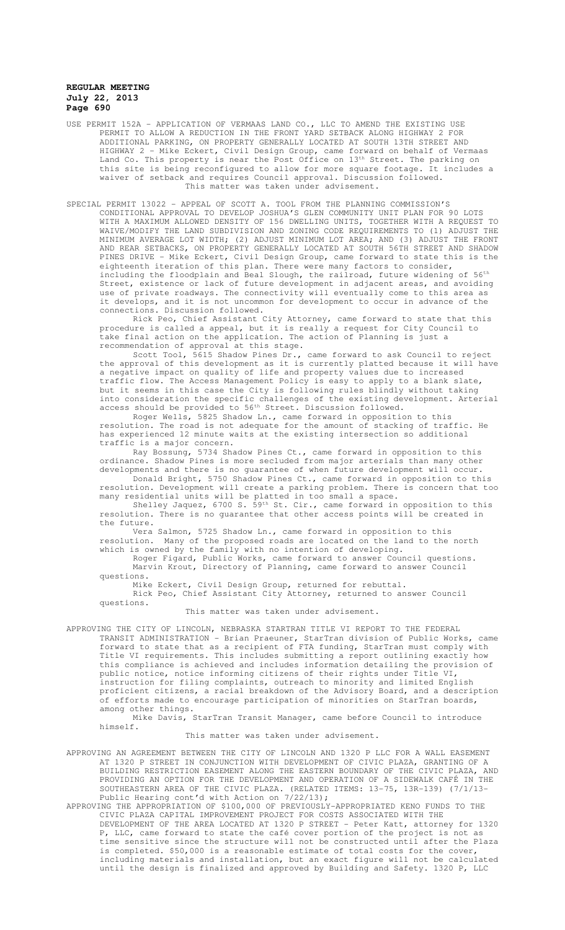USE PERMIT 152A – APPLICATION OF VERMAAS LAND CO., LLC TO AMEND THE EXISTING USE PERMIT TO ALLOW A REDUCTION IN THE FRONT YARD SETBACK ALONG HIGHWAY 2 FOR ADDITIONAL PARKING, ON PROPERTY GENERALLY LOCATED AT SOUTH 13TH STREET AND HIGHWAY 2 - Mike Eckert, Civil Design Group, came forward on behalf of Vermaas Land Co. This property is near the Post Office on 13<sup>th</sup> Street. The parking on this site is being reconfigured to allow for more square footage. It includes a waiver of setback and requires Council approval. Discussion followed. This matter was taken under advisement.

SPECIAL PERMIT 13022 – APPEAL OF SCOTT A. TOOL FROM THE PLANNING COMMISSION'S CONDITIONAL APPROVAL TO DEVELOP JOSHUA'S GLEN COMMUNITY UNIT PLAN FOR 90 LOTS WITH A MAXIMUM ALLOWED DENSITY OF 156 DWELLING UNITS, TOGETHER WITH A REQUEST TO WAIVE/MODIFY THE LAND SUBDIVISION AND ZONING CODE REQUIREMENTS TO (1) ADJUST THE MINIMUM AVERAGE LOT WIDTH; (2) ADJUST MINIMUM LOT AREA; AND (3) ADJUST THE FRONT AND REAR SETBACKS, ON PROPERTY GENERALLY LOCATED AT SOUTH 56TH STREET AND SHADOW PINES DRIVE - Mike Eckert, Civil Design Group, came forward to state this is the eighteenth iteration of this plan. There were many factors to consider, including the floodplain and Beal Slough, the railroad, future widening of 56<sup>th</sup> Street, existence or lack of future development in adjacent areas, and avoiding use of private roadways. The connectivity will eventually come to this area as it develops, and it is not uncommon for development to occur in advance of the connections. Discussion followed.

Rick Peo, Chief Assistant City Attorney, came forward to state that this procedure is called a appeal, but it is really a request for City Council to take final action on the application. The action of Planning is just a recommendation of approval at this stage.

Scott Tool, 5615 Shadow Pines Dr., came forward to ask Council to reject the approval of this development as it is currently platted because it will have a negative impact on quality of life and property values due to increased traffic flow. The Access Management Policy is easy to apply to a blank slate, but it seems in this case the City is following rules blindly without taking into consideration the specific challenges of the existing development. Arterial access should be provided to 56<sup>th</sup> Street. Discussion followed.

Roger Wells, 5825 Shadow Ln., came forward in opposition to this resolution. The road is not adequate for the amount of stacking of traffic. He has experienced 12 minute waits at the existing intersection so additional traffic is a major concern.

Ray Bossung, 5734 Shadow Pines Ct., came forward in opposition to this ordinance. Shadow Pines is more secluded from major arterials than many other developments and there is no guarantee of when future development will occur.

Donald Bright, 5750 Shadow Pines Ct., came forward in opposition to this resolution. Development will create a parking problem. There is concern that too many residential units will be platted in too small a space.

Shelley Jaquez, 6700 S. 59th St. Cir., came forward in opposition to this resolution. There is no guarantee that other access points will be created in the future.

Vera Salmon, 5725 Shadow Ln., came forward in opposition to this resolution. Many of the proposed roads are located on the land to the north

which is owned by the family with no intention of developing. Roger Figard, Public Works, came forward to answer Council questions.

Marvin Krout, Directory of Planning, came forward to answer Council questions.

Mike Eckert, Civil Design Group, returned for rebuttal.

Rick Peo, Chief Assistant City Attorney, returned to answer Council questions.

This matter was taken under advisement.

APPROVING THE CITY OF LINCOLN, NEBRASKA STARTRAN TITLE VI REPORT TO THE FEDERAL TRANSIT ADMINISTRATION - Brian Praeuner, StarTran division of Public Works, came forward to state that as a recipient of FTA funding, StarTran must comply with Title VI requirements. This includes submitting a report outlining exactly how this compliance is achieved and includes information detailing the provision of public notice, notice informing citizens of their rights under Title VI, instruction for filing complaints, outreach to minority and limited English proficient citizens, a racial breakdown of the Advisory Board, and a description .<br>of efforts made to encourage participation of minorities on StarTran boards, among other things.

Mike Davis, StarTran Transit Manager, came before Council to introduce himself.

This matter was taken under advisement.

APPROVING AN AGREEMENT BETWEEN THE CITY OF LINCOLN AND 1320 P LLC FOR A WALL EASEMENT AT 1320 P STREET IN CONJUNCTION WITH DEVELOPMENT OF CIVIC PLAZA, GRANTING OF A BUILDING RESTRICTION EASEMENT ALONG THE EASTERN BOUNDARY OF THE CIVIC PLAZA, AND PROVIDING AN OPTION FOR THE DEVELOPMENT AND OPERATION OF A SIDEWALK CAFÉ IN THE SOUTHEASTERN AREA OF THE CIVIC PLAZA. (RELATED ITEMS: 13-75, 13R-139) (7/1/13- Public Hearing cont'd with Action on 7/22/13);

APPROVING THE APPROPRIATION OF \$100,000 OF PREVIOUSLY-APPROPRIATED KENO FUNDS TO THE CIVIC PLAZA CAPITAL IMPROVEMENT PROJECT FOR COSTS ASSOCIATED WITH THE DEVELOPMENT OF THE AREA LOCATED AT 1320 P STREET - Peter Katt, attorney for 1320 P, LLC, came forward to state the café cover portion of the project is not as time sensitive since the structure will not be constructed until after the Plaza is completed. \$50,000 is a reasonable estimate of total costs for the cover, including materials and installation, but an exact figure will not be calculated until the design is finalized and approved by Building and Safety. 1320 P, LLC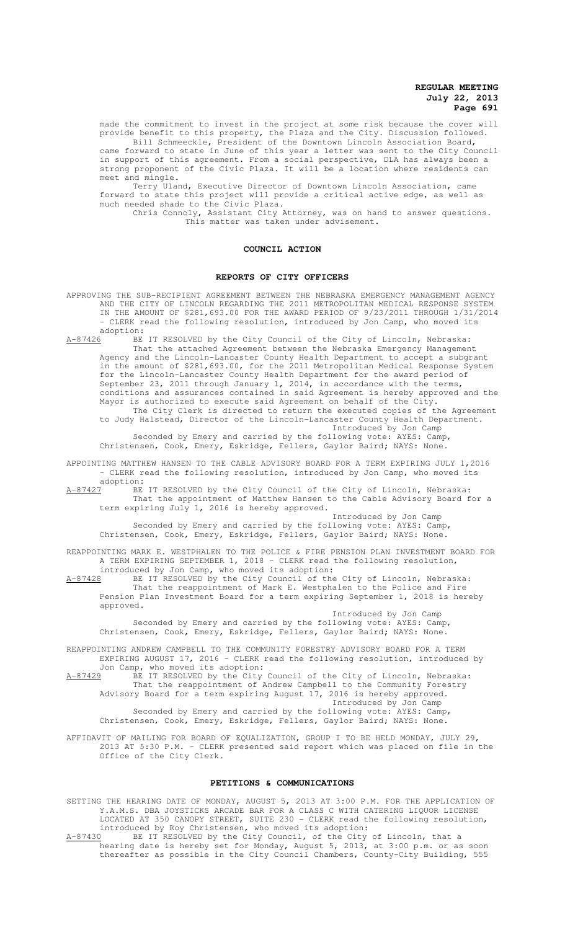made the commitment to invest in the project at some risk because the cover will provide benefit to this property, the Plaza and the City. Discussion followed. Bill Schmeeckle, President of the Downtown Lincoln Association Board,

came forward to state in June of this year a letter was sent to the City Council in support of this agreement. From a social perspective, DLA has always been a strong proponent of the Civic Plaza. It will be a location where residents can meet and mingle.

Terry Uland, Executive Director of Downtown Lincoln Association, came forward to state this project will provide a critical active edge, as well as much needed shade to the Civic Plaza.

Chris Connoly, Assistant City Attorney, was on hand to answer questions. This matter was taken under advisement.

#### **COUNCIL ACTION**

#### **REPORTS OF CITY OFFICERS**

APPROVING THE SUB-RECIPIENT AGREEMENT BETWEEN THE NEBRASKA EMERGENCY MANAGEMENT AGENCY AND THE CITY OF LINCOLN REGARDING THE 2011 METROPOLITAN MEDICAL RESPONSE SYSTEM IN THE AMOUNT OF \$281,693.00 FOR THE AWARD PERIOD OF 9/23/2011 THROUGH 1/31/2014 - CLERK read the following resolution, introduced by Jon Camp, who moved its  $\frac{\text{adoption:}}{\text{A}-87426}$ BE

BE IT RESOLVED by the City Council of the City of Lincoln, Nebraska: That the attached Agreement between the Nebraska Emergency Management Agency and the Lincoln-Lancaster County Health Department to accept a subgrant in the amount of \$281,693.00, for the 2011 Metropolitan Medical Response System for the Lincoln-Lancaster County Health Department for the award period of September 23, 2011 through January 1, 2014, in accordance with the terms, conditions and assurances contained in said Agreement is hereby approved and the Mayor is authorized to execute said Agreement on behalf of the City. The City Clerk is directed to return the executed copies of the Agreement to Judy Halstead, Director of the Lincoln-Lancaster County Health Department.

Introduced by Jon Camp Seconded by Emery and carried by the following vote: AYES: Camp, Christensen, Cook, Emery, Eskridge, Fellers, Gaylor Baird; NAYS: None.

APPOINTING MATTHEW HANSEN TO THE CABLE ADVISORY BOARD FOR A TERM EXPIRING JULY 1,2016

- CLERK read the following resolution, introduced by Jon Camp, who moved its adoption:<br> $A-87427$  BE

BE IT RESOLVED by the City Council of the City of Lincoln, Nebraska: That the appointment of Matthew Hansen to the Cable Advisory Board for a term expiring July 1, 2016 is hereby approved.

Introduced by Jon Camp Seconded by Emery and carried by the following vote: AYES: Camp, Christensen, Cook, Emery, Eskridge, Fellers, Gaylor Baird; NAYS: None.

REAPPOINTING MARK E. WESTPHALEN TO THE POLICE & FIRE PENSION PLAN INVESTMENT BOARD FOR A TERM EXPIRING SEPTEMBER 1, 2018 - CLERK read the following resolution, introduced by Jon Camp, who moved its adoption:

A-87428 BE IT RESOLVED by the City Council of the City of Lincoln, Nebraska: That the reappointment of Mark E. Westphalen to the Police and Fire Pension Plan Investment Board for a term expiring September 1, 2018 is hereby approved.

Introduced by Jon Camp Seconded by Emery and carried by the following vote: AYES: Camp, Christensen, Cook, Emery, Eskridge, Fellers, Gaylor Baird; NAYS: None.

REAPPOINTING ANDREW CAMPBELL TO THE COMMUNITY FORESTRY ADVISORY BOARD FOR A TERM EXPIRING AUGUST 17, 2016 - CLERK read the following resolution, introduced by Jon Camp, who moved its adoption:

A-87429 BE IT RESOLVED by the City Council of the City of Lincoln, Nebraska: That the reappointment of Andrew Campbell to the Community Forestry Advisory Board for a term expiring August 17, 2016 is hereby approved.

Introduced by Jon Camp Seconded by Emery and carried by the following vote: AYES: Camp, Christensen, Cook, Emery, Eskridge, Fellers, Gaylor Baird; NAYS: None.

AFFIDAVIT OF MAILING FOR BOARD OF EQUALIZATION, GROUP I TO BE HELD MONDAY, JULY 29, 2013 AT 5:30 P.M. - CLERK presented said report which was placed on file in the Office of the City Clerk.

#### **PETITIONS & COMMUNICATIONS**

SETTING THE HEARING DATE OF MONDAY, AUGUST 5, 2013 AT 3:00 P.M. FOR THE APPLICATION OF Y.A.M.S. DBA JOYSTICKS ARCADE BAR FOR A CLASS C WITH CATERING LIQUOR LICENSE LOCATED AT 350 CANOPY STREET, SUITE 230 - CLERK read the following resolution, introduced by Roy Christensen, who moved its adoption:<br>A-87430 BE IT RESOLVED by the City Council, of the City BE IT RESOLVED by the City Council, of the City of Lincoln, that a hearing date is hereby set for Monday, August 5, 2013, at 3:00 p.m. or as soon

thereafter as possible in the City Council Chambers, County-City Building, 555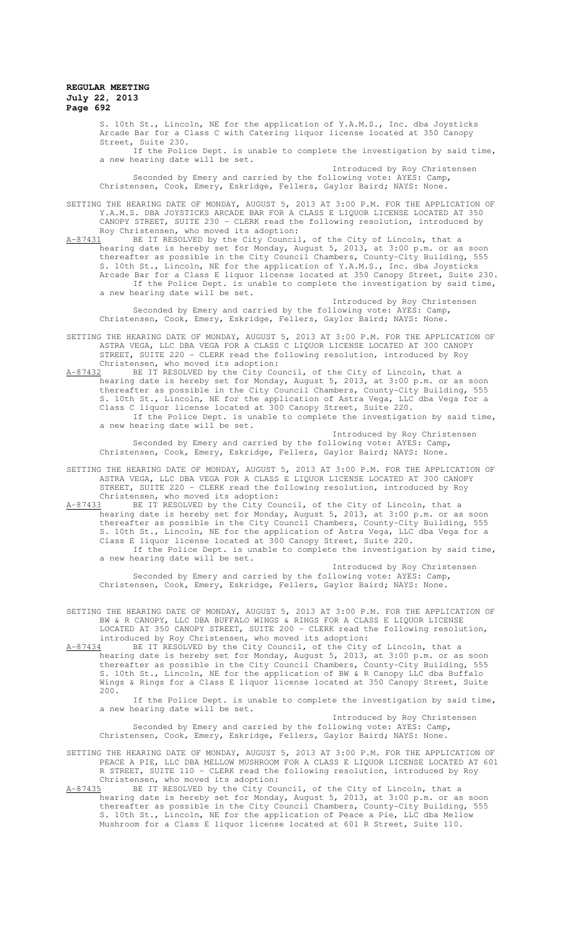S. 10th St., Lincoln, NE for the application of Y.A.M.S., Inc. dba Joysticks Arcade Bar for a Class C with Catering liquor license located at 350 Canopy Street, Suite 230.

If the Police Dept. is unable to complete the investigation by said time, a new hearing date will be set. Introduced by Roy Christensen

Seconded by Emery and carried by the following vote: AYES: Camp, Christensen, Cook, Emery, Eskridge, Fellers, Gaylor Baird; NAYS: None.

SETTING THE HEARING DATE OF MONDAY, AUGUST 5, 2013 AT 3:00 P.M. FOR THE APPLICATION OF Y.A.M.S. DBA JOYSTICKS ARCADE BAR FOR A CLASS E LIQUOR LICENSE LOCATED AT 350 CANOPY STREET, SUITE 230 - CLERK read the following resolution, introduced by Roy Christensen, who moved its adoption:<br>A-87431 BE IT RESOLVED by the City Council

A-87431 BE IT RESOLVED by the City Council, of the City of Lincoln, that a hearing date is hereby set for Monday, August 5, 2013, at 3:00 p.m. or as soon thereafter as possible in the City Council Chambers, County-City Building, 555 S. 10th St., Lincoln, NE for the application of Y.A.M.S., Inc. dba Joysticks Arcade Bar for a Class E liquor license located at 350 Canopy Street, Suite 230. If the Police Dept. is unable to complete the investigation by said time, a new hearing date will be set.

Introduced by Roy Christensen Seconded by Emery and carried by the following vote: AYES: Camp, Christensen, Cook, Emery, Eskridge, Fellers, Gaylor Baird; NAYS: None.

SETTING THE HEARING DATE OF MONDAY, AUGUST 5, 2013 AT 3:00 P.M. FOR THE APPLICATION OF ASTRA VEGA, LLC DBA VEGA FOR A CLASS C LIQUOR LICENSE LOCATED AT 300 CANOPY STREET, SUITE 220 - CLERK read the following resolution, introduced by Roy Christensen, who moved its adoption:<br>A-87432 BE IT RESOLVED by the City Cou

BE IT RESOLVED by the City Council, of the City of Lincoln, that a hearing date is hereby set for Monday, August 5, 2013, at 3:00 p.m. or as soon thereafter as possible in the City Council Chambers, County-City Building, 555 S. 10th St., Lincoln, NE for the application of Astra Vega, LLC dba Vega for a Class C liquor license located at 300 Canopy Street, Suite 220. If the Police Dept. is unable to complete the investigation by said time, a new hearing date will be set.

Introduced by Roy Christensen Seconded by Emery and carried by the following vote: AYES: Camp, Christensen, Cook, Emery, Eskridge, Fellers, Gaylor Baird; NAYS: None.

SETTING THE HEARING DATE OF MONDAY, AUGUST 5, 2013 AT 3:00 P.M. FOR THE APPLICATION OF ASTRA VEGA, LLC DBA VEGA FOR A CLASS E LIQUOR LICENSE LOCATED AT 300 CANOPY STREET, SUITE 220 - CLERK read the following resolution, introduced by Roy Christensen, who moved its adoption:<br>A-87433 BE IT RESOLVED by the City Cou

BE IT RESOLVED by the City Council, of the City of Lincoln, that a hearing date is hereby set for Monday, August 5, 2013, at 3:00 p.m. or as soon thereafter as possible in the City Council Chambers, County-City Building, 555 S. 10th St., Lincoln, NE for the application of Astra Vega, LLC dba Vega for a Class E liquor license located at 300 Canopy Street, Suite 220. If the Police Dept. is unable to complete the investigation by said time, a new hearing date will be set.

Introduced by Roy Christensen Seconded by Emery and carried by the following vote: AYES: Camp, Christensen, Cook, Emery, Eskridge, Fellers, Gaylor Baird; NAYS: None.

SETTING THE HEARING DATE OF MONDAY, AUGUST 5, 2013 AT 3:00 P.M. FOR THE APPLICATION OF BW & R CANOPY, LLC DBA BUFFALO WINGS & RINGS FOR A CLASS E LIQUOR LICENSE LOCATED AT 350 CANOPY STREET, SUITE 200 - CLERK read the following resolution, introduced by Roy Christensen, who moved its adoption:

A-87434 BE IT RESOLVED by the City Council, of the City of Lincoln, that a hearing date is hereby set for Monday, August 5, 2013, at 3:00 p.m. or as soon thereafter as possible in the City Council Chambers, County-City Building, 555 S. 10th St., Lincoln, NE for the application of BW & R Canopy LLC dba Buffalo Wings & Rings for a Class E liquor license located at 350 Canopy Street, Suite 200.

If the Police Dept. is unable to complete the investigation by said time, a new hearing date will be set.

Introduced by Roy Christensen Seconded by Emery and carried by the following vote: AYES: Camp, Christensen, Cook, Emery, Eskridge, Fellers, Gaylor Baird; NAYS: None.

SETTING THE HEARING DATE OF MONDAY, AUGUST 5, 2013 AT 3:00 P.M. FOR THE APPLICATION OF PEACE A PIE, LLC DBA MELLOW MUSHROOM FOR A CLASS E LIQUOR LICENSE LOCATED AT 601 R STREET, SUITE 110 - CLERK read the following resolution, introduced by Roy Christensen, who moved its adoption:

A-87435 BE IT RESOLVED by the City Council, of the City of Lincoln, that a hearing date is hereby set for Monday, August 5, 2013, at 3:00 p.m. or as soon thereafter as possible in the City Council Chambers, County-City Building, 555 S. 10th St., Lincoln, NE for the application of Peace a Pie, LLC dba Mellow Mushroom for a Class E liquor license located at 601 R Street, Suite 110.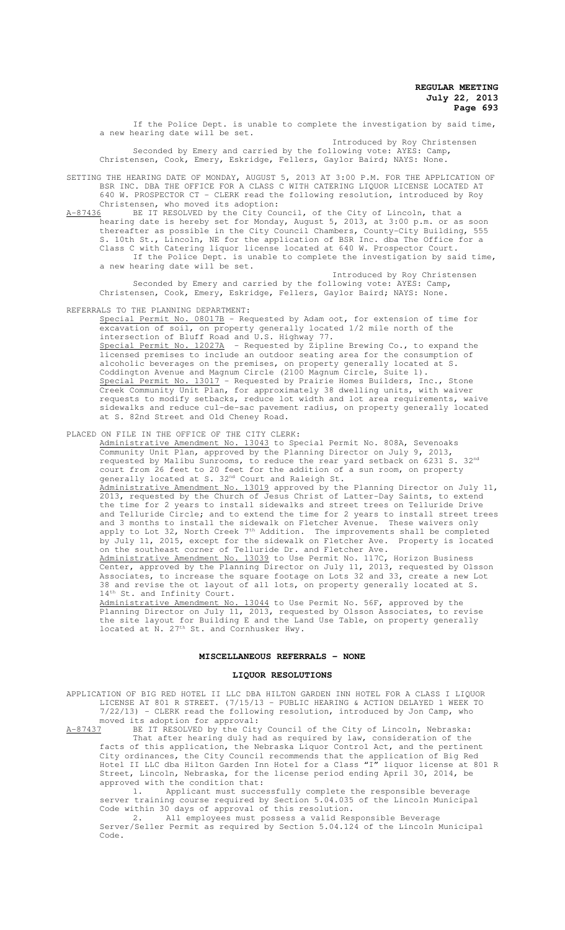If the Police Dept. is unable to complete the investigation by said time, a new hearing date will be set.

Introduced by Roy Christensen Seconded by Emery and carried by the following vote: AYES: Camp, Christensen, Cook, Emery, Eskridge, Fellers, Gaylor Baird; NAYS: None.

SETTING THE HEARING DATE OF MONDAY, AUGUST 5, 2013 AT 3:00 P.M. FOR THE APPLICATION OF BSR INC. DBA THE OFFICE FOR A CLASS C WITH CATERING LIQUOR LICENSE LOCATED AT 640 W. PROSPECTOR CT - CLERK read the following resolution, introduced by Roy Christensen, who moved its adoption:

A-87436 BE IT RESOLVED by the City Council, of the City of Lincoln, that a hearing date is hereby set for Monday, August 5, 2013, at 3:00 p.m. or as soon thereafter as possible in the City Council Chambers, County-City Building, 555 S. 10th St., Lincoln, NE for the application of BSR Inc. dba The Office for a Class C with Catering liquor license located at 640 W. Prospector Court. If the Police Dept. is unable to complete the investigation by said time, a new hearing date will be set.

Introduced by Roy Christensen Seconded by Emery and carried by the following vote: AYES: Camp, Christensen, Cook, Emery, Eskridge, Fellers, Gaylor Baird; NAYS: None.

REFERRALS TO THE PLANNING DEPARTMENT:

Special Permit No. 08017B - Requested by Adam oot, for extension of time for excavation of soil, on property generally located 1/2 mile north of the intersection of Bluff Road and U.S. Highway 77. Special Permit No. 12027A - Requested by Zipline Brewing Co., to expand the licensed premises to include an outdoor seating area for the consumption of alcoholic beverages on the premises, on property generally located at S. Coddington Avenue and Magnum Circle (2100 Magnum Circle, Suite 1). Special Permit No. 13017 - Requested by Prairie Homes Builders, Inc., Stone Creek Community Unit Plan, for approximately 38 dwelling units, with waiver requests to modify setbacks, reduce lot width and lot area requirements, waive sidewalks and reduce cul-de-sac pavement radius, on property generally located at S. 82nd Street and Old Cheney Road.

PLACED ON FILE IN THE OFFICE OF THE CITY CLERK:

Administrative Amendment No. 13043 to Special Permit No. 808A, Sevenoaks Community Unit Plan, approved by the Planning Director on July 9, 2013, requested by Malibu Sunrooms, to reduce the rear yard setback on 6231 S. 32nd court from 26 feet to 20 feet for the addition of a sun room, on property generally located at S. 32<sup>nd</sup> Court and Raleigh St. Manufacture Amendment No. 13019 approved by the Planning Director on July 11, 2013, requested by the Church of Jesus Christ of Latter-Day Saints, to extend the time for 2 years to install sidewalks and street trees on Telluride Drive and Telluride Circle; and to extend the time for 2 years to install street trees and 3 months to install the sidewalk on Fletcher Avenue. These waivers only apply to Lot 32, North Creek 7<sup>th</sup> Addition. The improvements shall be completed by July 11, 2015, except for the sidewalk on Fletcher Ave. Property is located on the southeast corner of Telluride Dr. and Fletcher Ave. Administrative Amendment No. 13039 to Use Permit No. 117C, Horizon Business Center, approved by the Planning Director on July 11, 2013, requested by Olsson Associates, to increase the square footage on Lots 32 and 33, create a new Lot 38 and revise the ot layout of all lots, on property generally located at S. 14<sup>th</sup> St. and Infinity Court. Administrative Amendment No. 13044 to Use Permit No. 56F, approved by the

Planning Director on July 11, 2013, requested by Olsson Associates, to revise the site layout for Building E and the Land Use Table, on property generally located at N. 27<sup>th</sup> St. and Cornhusker Hwy.

#### **MISCELLANEOUS REFERRALS - NONE**

#### **LIQUOR RESOLUTIONS**

APPLICATION OF BIG RED HOTEL II LLC DBA HILTON GARDEN INN HOTEL FOR A CLASS I LIQUOR LICENSE AT 801 R STREET. (7/15/13 - PUBLIC HEARING & ACTION DELAYED 1 WEEK TO  $7/22/13$ ) - CLERK read the following resolution, introduced by Jon Camp, who moved its adoption for approval:<br>A-87437 BE IT RESOLVED by the City

BE IT RESOLVED by the City Council of the City of Lincoln, Nebraska: That after hearing duly had as required by law, consideration of the facts of this application, the Nebraska Liquor Control Act, and the pertinent City ordinances, the City Council recommends that the application of Big Red Hotel II LLC dba Hilton Garden Inn Hotel for a Class "I" liquor license at 801 R Street, Lincoln, Nebraska, for the license period ending April 30, 2014, be approved with the condition that:

1. Applicant must successfully complete the responsible beverage server training course required by Section 5.04.035 of the Lincoln Municipal Code within 30 days of approval of this resolution.

2. All employees must possess a valid Responsible Beverage Server/Seller Permit as required by Section 5.04.124 of the Lincoln Municipal Code.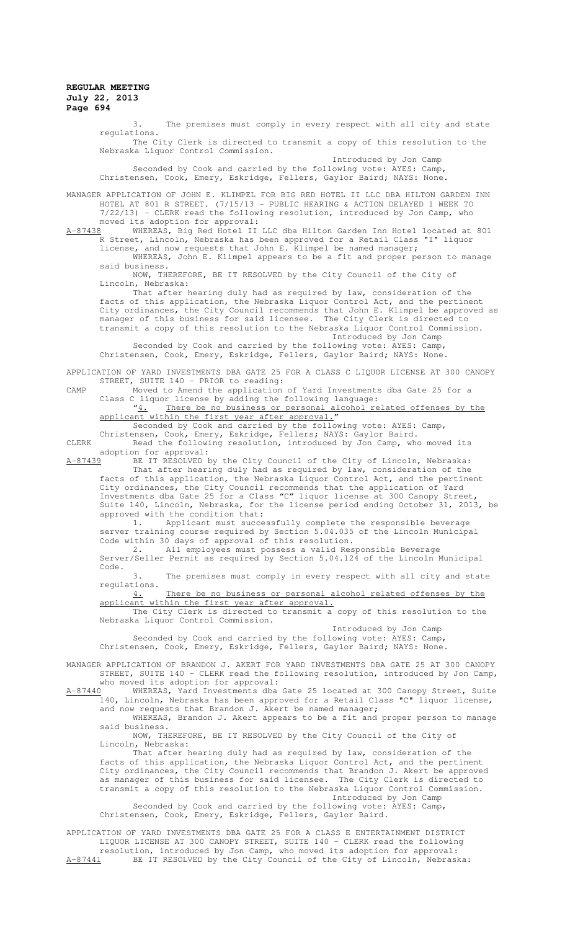3. The premises must comply in every respect with all city and state regulations.

The City Clerk is directed to transmit a copy of this resolution to the Nebraska Liquor Control Commission.

Introduced by Jon Camp Seconded by Cook and carried by the following vote: AYES: Camp, Christensen, Cook, Emery, Eskridge, Fellers, Gaylor Baird; NAYS: None.

MANAGER APPLICATION OF JOHN E. KLIMPEL FOR BIG RED HOTEL II LLC DBA HILTON GARDEN INN HOTEL AT 801 R STREET. (7/15/13 - PUBLIC HEARING & ACTION DELAYED 1 WEEK TO 7/22/13) - CLERK read the following resolution, introduced by Jon Camp, who

moved its adoption for approval:<br>A-87438 WHEREAS, Big Red Hotel II

WHEREAS, Big Red Hotel II LLC dba Hilton Garden Inn Hotel located at 801 R Street, Lincoln, Nebraska has been approved for a Retail Class "I" liquor license, and now requests that John E. Klimpel be named manager;

WHEREAS, John E. Klimpel appears to be a fit and proper person to manage said business.

NOW, THEREFORE, BE IT RESOLVED by the City Council of the City of Lincoln, Nebraska:

That after hearing duly had as required by law, consideration of the facts of this application, the Nebraska Liquor Control Act, and the pertinent City ordinances, the City Council recommends that John E. Klimpel be approved as manager of this business for said licensee. The City Clerk is directed to transmit a copy of this resolution to the Nebraska Liquor Control Commission.

Introduced by Jon Camp Seconded by Cook and carried by the following vote: AYES: Camp, Christensen, Cook, Emery, Eskridge, Fellers, Gaylor Baird; NAYS: None.

APPLICATION OF YARD INVESTMENTS DBA GATE 25 FOR A CLASS C LIQUOR LICENSE AT 300 CANOPY STREET, SUITE 140 - PRIOR to reading:

CAMP Moved to Amend the application of Yard Investments dba Gate 25 for a Class C liquor license by adding the following language:<br>"4. There be no business or personal alcohol re

"4. There be no business or personal alcohol related offenses by the applicant within the first year after approval."

Seconded by Cook and carried by the following vote: AYES: Camp, Christensen, Cook, Emery, Eskridge, Fellers; NAYS: Gaylor Baird.

CLERK Read the following resolution, introduced by Jon Camp, who moved its

adoption for approval:<br>A-87439 BE IT RESOLVED B BE IT RESOLVED by the City Council of the City of Lincoln, Nebraska: That after hearing duly had as required by law, consideration of the

facts of this application, the Nebraska Liquor Control Act, and the pertinent City ordinances, the City Council recommends that the application of Yard Investments dba Gate 25 for a Class "C" liquor license at 300 Canopy Street, Suite 140, Lincoln, Nebraska, for the license period ending October 31, 2013, be approved with the condition that:

1. Applicant must successfully complete the responsible beverage server training course required by Section 5.04.035 of the Lincoln Municipal Code within 30 days of approval of this resolution.

2. All employees must possess a valid Responsible Beverage Server/Seller Permit as required by Section 5.04.124 of the Lincoln Municipal Code.

3. The premises must comply in every respect with all city and state regulations.

4. There be no business or personal alcohol related offenses by the applicant within the first year after approval.

The City Clerk is directed to transmit a copy of this resolution to the Nebraska Liquor Control Commission. Introduced by Jon Camp

Seconded by Cook and carried by the following vote: AYES: Camp, Christensen, Cook, Emery, Eskridge, Fellers, Gaylor Baird; NAYS: None.

MANAGER APPLICATION OF BRANDON J. AKERT FOR YARD INVESTMENTS DBA GATE 25 AT 300 CANOPY STREET, SUITE 140 - CLERK read the following resolution, introduced by Jon Camp,

who moved its adoption for approval:<br>A-87440 WHEREAS, Yard Investments dba A-87440 WHEREAS, Yard Investments dba Gate 25 located at 300 Canopy Street, Suite 140, Lincoln, Nebraska has been approved for a Retail Class "C" liquor license, and now requests that Brandon J. Akert be named manager;

WHEREAS, Brandon J. Akert appears to be a fit and proper person to manage said business.

NOW, THEREFORE, BE IT RESOLVED by the City Council of the City of Lincoln, Nebraska:

That after hearing duly had as required by law, consideration of the facts of this application, the Nebraska Liquor Control Act, and the pertinent City ordinances, the City Council recommends that Brandon J. Akert be approved as manager of this business for said licensee. The City Clerk is directed to transmit a copy of this resolution to the Nebraska Liquor Control Commission. Introduced by Jon Camp

Seconded by Cook and carried by the following vote: AYES: Camp, Christensen, Cook, Emery, Eskridge, Fellers, Gaylor Baird.

APPLICATION OF YARD INVESTMENTS DBA GATE 25 FOR A CLASS E ENTERTAINMENT DISTRICT LIQUOR LICENSE AT 300 CANOPY STREET, SUITE 140 - CLERK read the following

resolution, introduced by Jon Camp, who moved its adoption for approval: A-87441 BE IT RESOLVED by the City Council of the City of Lincoln, Nebraska: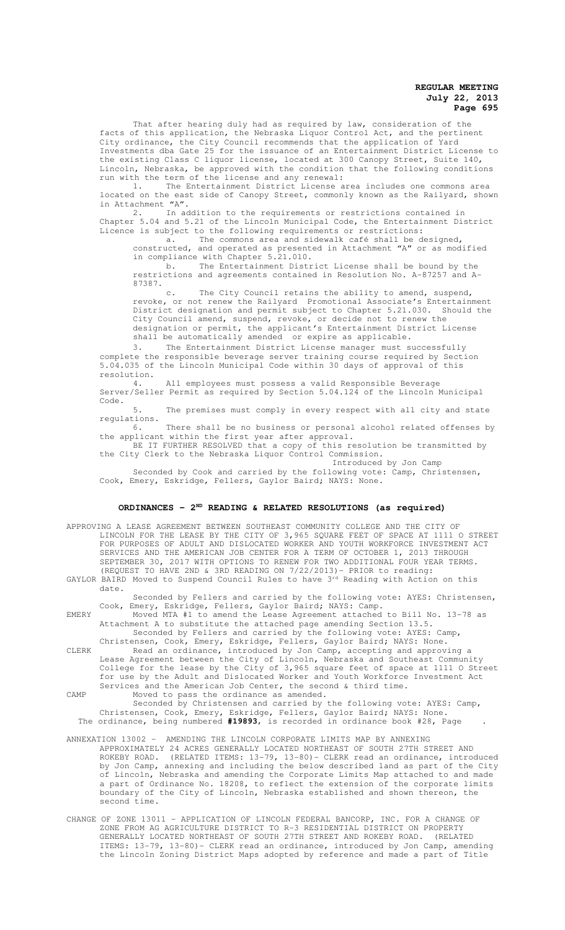That after hearing duly had as required by law, consideration of the facts of this application, the Nebraska Liquor Control Act, and the pertinent City ordinance, the City Council recommends that the application of Yard Investments dba Gate 25 for the issuance of an Entertainment District License to the existing Class C liquor license, located at 300 Canopy Street, Suite 140, Lincoln, Nebraska, be approved with the condition that the following conditions run with the term of the license and any renewal:

1. The Entertainment District License area includes one commons area located on the east side of Canopy Street, commonly known as the Railyard, shown in Attachment "A".

2. In addition to the requirements or restrictions contained in Chapter 5.04 and 5.21 of the Lincoln Municipal Code, the Entertainment District Licence is subject to the following requirements or restrictions:

a. The commons area and sidewalk café shall be designed, constructed, and operated as presented in Attachment "A" or as modified in compliance with Chapter 5.21.010.

b. The Entertainment District License shall be bound by the restrictions and agreements contained in Resolution No. A-87257 and A-87387.

c. The City Council retains the ability to amend, suspend, revoke, or not renew the Railyard Promotional Associate's Entertainment District designation and permit subject to Chapter 5.21.030. Should the City Council amend, suspend, revoke, or decide not to renew the designation or permit, the applicant's Entertainment District License

shall be automatically amended or expire as applicable.

3. The Entertainment District License manager must successfully complete the responsible beverage server training course required by Section 5.04.035 of the Lincoln Municipal Code within 30 days of approval of this resolution.

4. All employees must possess a valid Responsible Beverage Server/Seller Permit as required by Section 5.04.124 of the Lincoln Municipal Code.

5. The premises must comply in every respect with all city and state regulations.<br>6.

There shall be no business or personal alcohol related offenses by the applicant within the first year after approval.

BE IT FURTHER RESOLVED that a copy of this resolution be transmitted by the City Clerk to the Nebraska Liquor Control Commission. Introduced by Jon Camp

Seconded by Cook and carried by the following vote: Camp, Christensen, Cook, Emery, Eskridge, Fellers, Gaylor Baird; NAYS: None.

# **ORDINANCES - 2ND READING & RELATED RESOLUTIONS (as required)**

APPROVING A LEASE AGREEMENT BETWEEN SOUTHEAST COMMUNITY COLLEGE AND THE CITY OF LINCOLN FOR THE LEASE BY THE CITY OF 3,965 SQUARE FEET OF SPACE AT 1111 O STREET FOR PURPOSES OF ADULT AND DISLOCATED WORKER AND YOUTH WORKFORCE INVESTMENT ACT SERVICES AND THE AMERICAN JOB CENTER FOR A TERM OF OCTOBER 1, 2013 THROUGH SEPTEMBER 30, 2017 WITH OPTIONS TO RENEW FOR TWO ADDITIONAL FOUR YEAR TERMS. (REQUEST TO HAVE 2ND & 3RD READING ON 7/22/2013)- PRIOR to reading:

GAYLOR BAIRD Moved to Suspend Council Rules to have 3<sup>rd</sup> Reading with Action on this date.

Seconded by Fellers and carried by the following vote: AYES: Christensen, Cook, Emery, Eskridge, Fellers, Gaylor Baird; NAYS: Camp. EMERY Moved MTA #1 to amend the Lease Agreement attached to Bill No. 13-78 as

Attachment A to substitute the attached page amending Section 13.5. Seconded by Fellers and carried by the following vote: AYES: Camp,

Christensen, Cook, Emery, Eskridge, Fellers, Gaylor Baird; NAYS: None. CLERK Read an ordinance, introduced by Jon Camp, accepting and approving a Lease Agreement between the City of Lincoln, Nebraska and Southeast Community College for the lease by the City of 3,965 square feet of space at 1111 O Street for use by the Adult and Dislocated Worker and Youth Workforce Investment Act Services and the American Job Center, the second & third time.

CAMP Moved to pass the ordinance as amended. Seconded by Christensen and carried by the following vote: AYES: Camp, Christensen, Cook, Emery, Eskridge, Fellers, Gaylor Baird; NAYS: None.

The ordinance, being numbered **#19893**, is recorded in ordinance book #28, Page .

ANNEXATION 13002 – AMENDING THE LINCOLN CORPORATE LIMITS MAP BY ANNEXING APPROXIMATELY 24 ACRES GENERALLY LOCATED NORTHEAST OF SOUTH 27TH STREET AND ROKEBY ROAD. (RELATED ITEMS: 13-79, 13-80)- CLERK read an ordinance, introduced by Jon Camp, annexing and including the below described land as part of the City of Lincoln, Nebraska and amending the Corporate Limits Map attached to and made a part of Ordinance No. 18208, to reflect the extension of the corporate limits boundary of the City of Lincoln, Nebraska established and shown thereon, the second time.

CHANGE OF ZONE 13011 – APPLICATION OF LINCOLN FEDERAL BANCORP, INC. FOR A CHANGE OF ZONE FROM AG AGRICULTURE DISTRICT TO R-3 RESIDENTIAL DISTRICT ON PROPERTY GENERALLY LOCATED NORTHEAST OF SOUTH 27TH STREET AND ROKEBY ROAD. (RELATED ITEMS: 13-79, 13-80)- CLERK read an ordinance, introduced by Jon Camp, amending the Lincoln Zoning District Maps adopted by reference and made a part of Title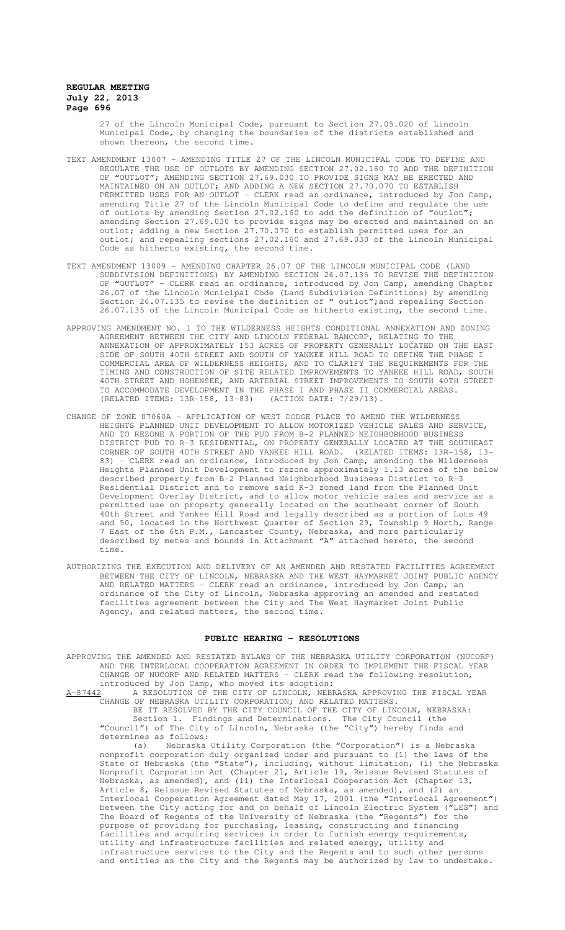27 of the Lincoln Municipal Code, pursuant to Section 27.05.020 of Lincoln Municipal Code, by changing the boundaries of the districts established and shown thereon, the second time.

- TEXT AMENDMENT 13007 AMENDING TITLE 27 OF THE LINCOLN MUNICIPAL CODE TO DEFINE AND REGULATE THE USE OF OUTLOTS BY AMENDING SECTION 27.02.160 TO ADD THE DEFINITION OF "OUTLOT"; AMENDING SECTION 27.69.030 TO PROVIDE SIGNS MAY BE ERECTED AND MAINTAINED ON AN OUTLOT; AND ADDING A NEW SECTION 27.70.070 TO ESTABLISH PERMITTED USES FOR AN OUTLOT - CLERK read an ordinance, introduced by Jon Camp, amending Title 27 of the Lincoln Municipal Code to define and regulate the use of outlots by amending Section 27.02.160 to add the definition of "outlot"; amending Section 27.69.030 to provide signs may be erected and maintained on an outlot; adding a new Section 27.70.070 to establish permitted uses for an outlot; and repealing sections 27.02.160 and 27.69.030 of the Lincoln Municipal Code as hitherto existing, the second time.
- TEXT AMENDMENT 13009 AMENDING CHAPTER 26.07 OF THE LINCOLN MUNICIPAL CODE (LAND SUBDIVISION DEFINITIONS) BY AMENDING SECTION 26.07.135 TO REVISE THE DEFINITION OF "OUTLOT" - CLERK read an ordinance, introduced by Jon Camp, amending Chapter 26.07 of the Lincoln Municipal Code (Land Subdivision Definitions) by amending Section 26.07.135 to revise the definition of " outlot"; and repealing Section 26.07.135 of the Lincoln Municipal Code as hitherto existing, the second time.
- APPROVING AMENDMENT NO. 1 TO THE WILDERNESS HEIGHTS CONDITIONAL ANNEXATION AND ZONING AGREEMENT BETWEEN THE CITY AND LINCOLN FEDERAL BANCORP, RELATING TO THE ANNEXATION OF APPROXIMATELY 153 ACRES OF PROPERTY GENERALLY LOCATED ON THE EAST SIDE OF SOUTH 40TH STREET AND SOUTH OF YANKEE HILL ROAD TO DEFINE THE PHASE I COMMERCIAL AREA OF WILDERNESS HEIGHTS, AND TO CLARIFY THE REQUIREMENTS FOR THE TIMING AND CONSTRUCTION OF SITE RELATED IMPROVEMENTS TO YANKEE HILL ROAD, SOUTH 40TH STREET AND HOHENSEE, AND ARTERIAL STREET IMPROVEMENTS TO SOUTH 40TH STREET TO ACCOMMODATE DEVELOPMENT IN THE PHASE I AND PHASE II COMMERCIAL AREAS. (RELATED ITEMS: 13R-158, 13-83) (ACTION DATE: 7/29/13).
- CHANGE OF ZONE 07060A APPLICATION OF WEST DODGE PLACE TO AMEND THE WILDERNESS HEIGHTS PLANNED UNIT DEVELOPMENT TO ALLOW MOTORIZED VEHICLE SALES AND SERVICE, AND TO REZONE A PORTION OF THE PUD FROM B-2 PLANNED NEIGHBORHOOD BUSINESS DISTRICT PUD TO R-3 RESIDENTIAL, ON PROPERTY GENERALLY LOCATED AT THE SOUTHEAST CORNER OF SOUTH 40TH STREET AND YANKEE HILL ROAD. (RELATED ITEMS: 13R-158, 13- 83) - CLERK read an ordinance, introduced by Jon Camp, amending the Wilderness Heights Planned Unit Development to rezone approximately 1.13 acres of the below described property from B-2 Planned Neighborhood Business District to R-3 Residential District and to remove said R-3 zoned land from the Planned Unit Development Overlay District, and to allow motor vehicle sales and service as a permitted use on property generally located on the southeast corner of South 40th Street and Yankee Hill Road and legally described as a portion of Lots 49 and 50, located in the Northwest Quarter of Section 29, Township 9 North, Range 7 East of the 6th P.M., Lancaster County, Nebraska, and more particularly described by metes and bounds in Attachment "A" attached hereto, the second time.
- AUTHORIZING THE EXECUTION AND DELIVERY OF AN AMENDED AND RESTATED FACILITIES AGREEMENT BETWEEN THE CITY OF LINCOLN, NEBRASKA AND THE WEST HAYMARKET JOINT PUBLIC AGENCY AND RELATED MATTERS - CLERK read an ordinance, introduced by Jon Camp, an ordinance of the City of Lincoln, Nebraska approving an amended and restated facilities agreement between the City and The West Haymarket Joint Public Agency, and related matters, the second time.

#### **PUBLIC HEARING - RESOLUTIONS**

APPROVING THE AMENDED AND RESTATED BYLAWS OF THE NEBRASKA UTILITY CORPORATION (NUCORP) AND THE INTERLOCAL COOPERATION AGREEMENT IN ORDER TO IMPLEMENT THE FISCAL YEAR CHANGE OF NUCORP AND RELATED MATTERS - CLERK read the following resolution, introduced by Jon Camp, who moved its adoption:

A-87442 A RESOLUTION OF THE CITY OF LINCOLN, NEBRASKA APPROVING THE FISCAL YEAR A-87442 A RESOLUTION OF THE CITY OF LINCOLN, NEBRASKA APPROVIL<br>CHANGE OF NEBRASKA UTILITY CORPORATION; AND RELATED MATTERS.

BE IT RESOLVED BY THE CITY COUNCIL OF THE CITY OF LINCOLN, NEBRASKA:<br>Section 1. Findings and Determinations. The City Council (the Section 1. Findings and Determinations. The City Council "Council") of The City of Lincoln, Nebraska (the "City") hereby finds and determines as follows:

(a) Nebraska Utility Corporation (the "Corporation") is a Nebraska nonprofit corporation duly organized under and pursuant to (1) the laws of the State of Nebraska (the "State"), including, without limitation, (i) the Nebraska Nonprofit Corporation Act (Chapter 21, Article 19, Reissue Revised Statutes of Nebraska, as amended), and (ii) the Interlocal Cooperation Act (Chapter 13, Article 8, Reissue Revised Statutes of Nebraska, as amended), and (2) an Interlocal Cooperation Agreement dated May 17, 2001 (the "Interlocal Agreement") between the City acting for and on behalf of Lincoln Electric System ("LES") and The Board of Regents of the University of Nebraska (the "Regents") for the purpose of providing for purchasing, leasing, constructing and financing facilities and acquiring services in order to furnish energy requirements, utility and infrastructure facilities and related energy, utility and infrastructure services to the City and the Regents and to such other persons and entities as the City and the Regents may be authorized by law to undertake.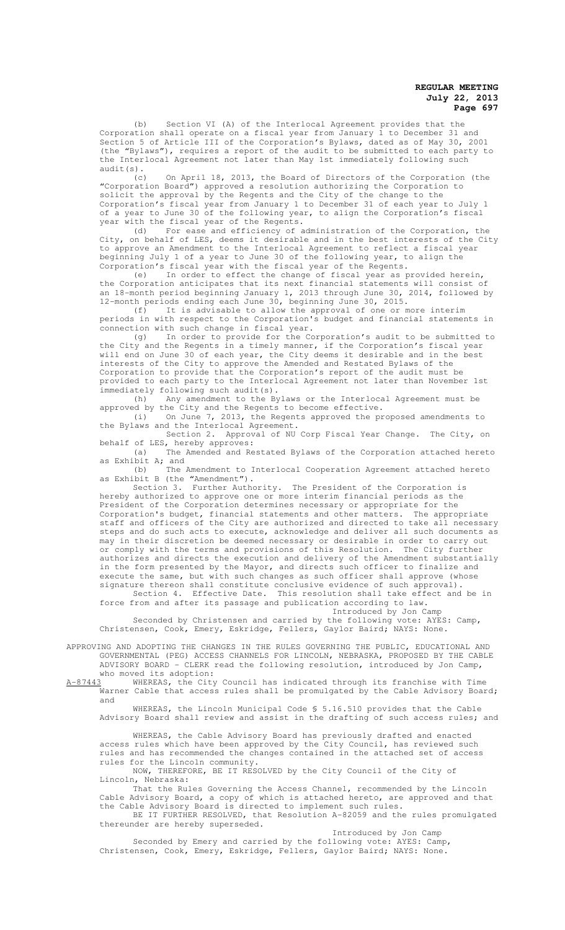(b) Section VI (A) of the Interlocal Agreement provides that the Corporation shall operate on a fiscal year from January 1 to December 31 and Section 5 of Article III of the Corporation's Bylaws, dated as of May 30, 2001 (the "Bylaws"), requires a report of the audit to be submitted to each party to the Interlocal Agreement not later than May 1st immediately following such audit(s).

(c) On April 18, 2013, the Board of Directors of the Corporation (the "Corporation Board") approved a resolution authorizing the Corporation to solicit the approval by the Regents and the City of the change to the Corporation's fiscal year from January 1 to December 31 of each year to July 1 of a year to June 30 of the following year, to align the Corporation's fiscal year with the fiscal year of the Regents.

(d) For ease and efficiency of administration of the Corporation, the City, on behalf of LES, deems it desirable and in the best interests of the City to approve an Amendment to the Interlocal Agreement to reflect a fiscal year beginning July 1 of a year to June 30 of the following year, to align the Corporation's fiscal year with the fiscal year of the Regents.

(e) In order to effect the change of fiscal year as provided herein, the Corporation anticipates that its next financial statements will consist of an 18-month period beginning January 1, 2013 through June 30, 2014, followed by 12-month periods ending each June 30, beginning June 30, 2015.

(f) It is advisable to allow the approval of one or more interim periods in with respect to the Corporation's budget and financial statements in .<br>connection with such change in fiscal year.

(g) In order to provide for the Corporation's audit to be submitted to the City and the Regents in a timely manner, if the Corporation's fiscal year will end on June 30 of each year, the City deems it desirable and in the best interests of the City to approve the Amended and Restated Bylaws of the Corporation to provide that the Corporation's report of the audit must be provided to each party to the Interlocal Agreement not later than November 1st immediately following such audit(s).<br>(h) Any amendment to the By

(h) Any amendment to the Bylaws or the Interlocal Agreement must be approved by the City and the Regents to become effective.

(i) On June 7, 2013, the Regents approved the proposed amendments to the Bylaws and the Interlocal Agreement.

Section 2. Approval of NU Corp Fiscal Year Change. The City, on behalf of LES, hereby approves:

(a) The Amended and Restated Bylaws of the Corporation attached hereto as Exhibit A; and

(b) The Amendment to Interlocal Cooperation Agreement attached hereto as Exhibit B (the "Amendment").

Section 3. Further Authority. The President of the Corporation is hereby authorized to approve one or more interim financial periods as the President of the Corporation determines necessary or appropriate for the Corporation's budget, financial statements and other matters. The appropriate staff and officers of the City are authorized and directed to take all necessary steps and do such acts to execute, acknowledge and deliver all such documents as may in their discretion be deemed necessary or desirable in order to carry out or comply with the terms and provisions of this Resolution. The City further authorizes and directs the execution and delivery of the Amendment substantially in the form presented by the Mayor, and directs such officer to finalize and execute the same, but with such changes as such officer shall approve (whose signature thereon shall constitute conclusive evidence of such approval).

Section 4. Effective Date. This resolution shall take effect and be in force from and after its passage and publication according to law.

Introduced by Jon Camp Seconded by Christensen and carried by the following vote: AYES: Camp, Christensen, Cook, Emery, Eskridge, Fellers, Gaylor Baird; NAYS: None.

APPROVING AND ADOPTING THE CHANGES IN THE RULES GOVERNING THE PUBLIC, EDUCATIONAL AND GOVERNMENTAL (PEG) ACCESS CHANNELS FOR LINCOLN, NEBRASKA, PROPOSED BY THE CABLE ADVISORY BOARD - CLERK read the following resolution, introduced by Jon Camp, who moved its adoption:<br>A-87443 WHEREAS, the City

WHEREAS, the City Council has indicated through its franchise with Time Warner Cable that access rules shall be promulgated by the Cable Advisory Board; and

WHEREAS, the Lincoln Municipal Code \$ 5.16.510 provides that the Cable Advisory Board shall review and assist in the drafting of such access rules; and

WHEREAS, the Cable Advisory Board has previously drafted and enacted access rules which have been approved by the City Council, has reviewed such rules and has recommended the changes contained in the attached set of access rules for the Lincoln community.

NOW, THEREFORE, BE IT RESOLVED by the City Council of the City of Lincoln, Nebraska:

That the Rules Governing the Access Channel, recommended by the Lincoln Cable Advisory Board, a copy of which is attached hereto, are approved and that the Cable Advisory Board is directed to implement such rules.

BE IT FURTHER RESOLVED, that Resolution A-82059 and the rules promulgated thereunder are hereby superseded.

Introduced by Jon Camp Seconded by Emery and carried by the following vote: AYES: Camp, Christensen, Cook, Emery, Eskridge, Fellers, Gaylor Baird; NAYS: None.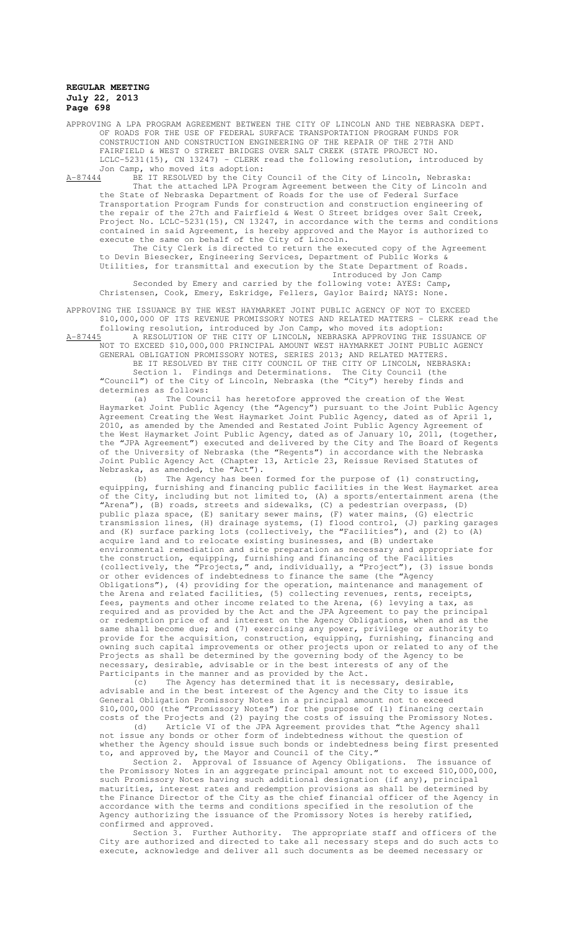APPROVING A LPA PROGRAM AGREEMENT BETWEEN THE CITY OF LINCOLN AND THE NEBRASKA DEPT. OF ROADS FOR THE USE OF FEDERAL SURFACE TRANSPORTATION PROGRAM FUNDS FOR CONSTRUCTION AND CONSTRUCTION ENGINEERING OF THE REPAIR OF THE 27TH AND FAIRFIELD & WEST O STREET BRIDGES OVER SALT CREEK (STATE PROJECT NO. LCLC-5231(15), CN 13247) - CLERK read the following resolution, introduced by Jon Camp, who moved its adoption:

A-87444 BE IT RESOLVED by the City Council of the City of Lincoln, Nebraska: That the attached LPA Program Agreement between the City of Lincoln and the State of Nebraska Department of Roads for the use of Federal Surface Transportation Program Funds for construction and construction engineering of the repair of the 27th and Fairfield & West O Street bridges over Salt Creek, Project No. LCLC-5231(15), CN 13247, in accordance with the terms and conditions contained in said Agreement, is hereby approved and the Mayor is authorized to execute the same on behalf of the City of Lincoln.

The City Clerk is directed to return the executed copy of the Agreement to Devin Biesecker, Engineering Services, Department of Public Works & Utilities, for transmittal and execution by the State Department of Roads. Introduced by Jon Camp

Seconded by Emery and carried by the following vote: AYES: Camp, Christensen, Cook, Emery, Eskridge, Fellers, Gaylor Baird; NAYS: None.

APPROVING THE ISSUANCE BY THE WEST HAYMARKET JOINT PUBLIC AGENCY OF NOT TO EXCEED \$10,000,000 OF ITS REVENUE PROMISSORY NOTES AND RELATED MATTERS - CLERK read the

following resolution, introduced by Jon Camp, who moved its adoption:<br>A-87445 A RESOLUTION OF THE CITY OF LINCOLN, NEBRASKA APPROVING THE ISS A-87445 A RESOLUTION OF THE CITY OF LINCOLN, NEBRASKA APPROVING THE ISSUANCE OF NOT TO EXCEED \$10,000,000 PRINCIPAL AMOUNT WEST HAYMARKET JOINT PUBLIC AGENCY GENERAL OBLIGATION PROMISSORY NOTES, SERIES 2013; AND RELATED MATTERS.

BE IT RESOLVED BY THE CITY COUNCIL OF THE CITY OF LINCOLN, NEBRASKA: Section 1. Findings and Determinations. The City Council (the "Council") of the City of Lincoln, Nebraska (the "City") hereby finds and determines as follows:

(a) The Council has heretofore approved the creation of the West Haymarket Joint Public Agency (the "Agency") pursuant to the Joint Public Agency Agreement Creating the West Haymarket Joint Public Agency, dated as of April 1, 2010, as amended by the Amended and Restated Joint Public Agency Agreement of the West Haymarket Joint Public Agency, dated as of January 10, 2011, (together, the "JPA Agreement") executed and delivered by the City and The Board of Regents of the University of Nebraska (the "Regents") in accordance with the Nebraska Joint Public Agency Act (Chapter 13, Article 23, Reissue Revised Statutes of Nebraska, as amended, the "Act").

(b) The Agency has been formed for the purpose of (1) constructing, equipping, furnishing and financing public facilities in the West Haymarket area of the City, including but not limited to, (A) a sports/entertainment arena (the "Arena"), (B) roads, streets and sidewalks, (C) a pedestrian overpass, (D) public plaza space, (E) sanitary sewer mains, (F) water mains, (G) electric transmission lines, (H) drainage systems, (I) flood control, (J) parking garages and (K) surface parking lots (collectively, the "Facilities"), and (2) to (A) and  $(N)$  surface parally four  $(3)$  corrections in  $\alpha$ , is and (B) undertake environmental remediation and site preparation as necessary and appropriate for the construction, equipping, furnishing and financing of the Facilities (collectively, the "Projects," and, individually, a "Project"), (3) issue bonds or other evidences of indebtedness to finance the same (the "Agency Obligations"), (4) providing for the operation, maintenance and management of the Arena and related facilities, (5) collecting revenues, rents, receipts, fees, payments and other income related to the Arena, (6) levying a tax, as required and as provided by the Act and the JPA Agreement to pay the principal or redemption price of and interest on the Agency Obligations, when and as the same shall become due; and (7) exercising any power, privilege or authority to provide for the acquisition, construction, equipping, furnishing, financing and owning such capital improvements or other projects upon or related to any of the Projects as shall be determined by the governing body of the Agency to be necessary, desirable, advisable or in the best interests of any of the Participants in the manner and as provided by the Act.

(c) The Agency has determined that it is necessary, desirable, advisable and in the best interest of the Agency and the City to issue its General Obligation Promissory Notes in a principal amount not to exceed \$10,000,000 (the "Promissory Notes") for the purpose of (1) financing certain costs of the Projects and (2) paying the costs of issuing the Promissory Notes.

(d) Article VI of the JPA Agreement provides that "the Agency shall not issue any bonds or other form of indebtedness without the question of whether the Agency should issue such bonds or indebtedness being first presented to, and approved by, the Mayor and Council of the City."

Section 2. Approval of Issuance of Agency Obligations. The issuance of the Promissory Notes in an aggregate principal amount not to exceed \$10,000,000, such Promissory Notes having such additional designation (if any), principal maturities, interest rates and redemption provisions as shall be determined by the Finance Director of the City as the chief financial officer of the Agency in accordance with the terms and conditions specified in the resolution of the Agency authorizing the issuance of the Promissory Notes is hereby ratified, confirmed and approved.

Section 3. Further Authority. The appropriate staff and officers of the City are authorized and directed to take all necessary steps and do such acts to execute, acknowledge and deliver all such documents as be deemed necessary or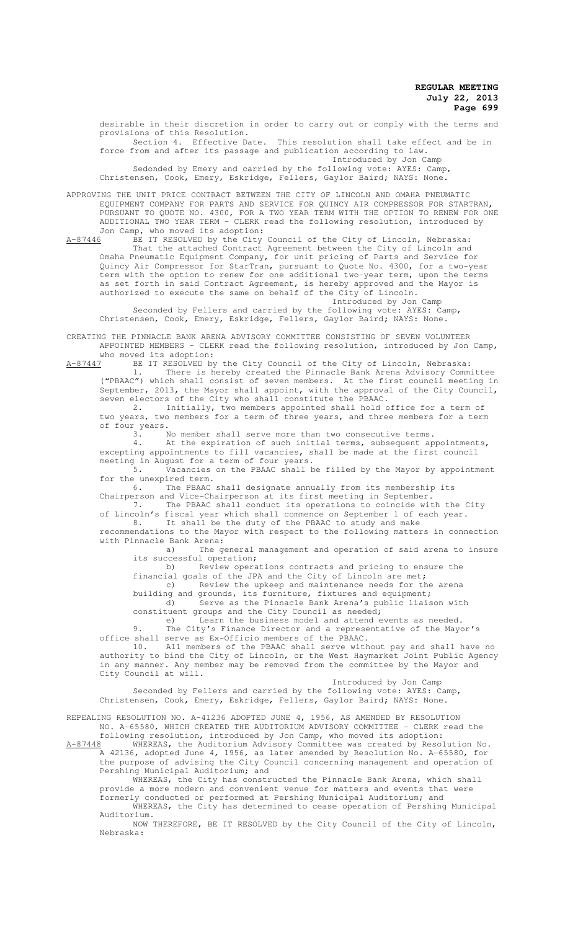desirable in their discretion in order to carry out or comply with the terms and provisions of this Resolution. Section 4. Effective Date. This resolution shall take effect and be in

force from and after its passage and publication according to law. Introduced by Jon Camp

Sedonded by Emery and carried by the following vote: AYES: Camp, Christensen, Cook, Emery, Eskridge, Fellers, Gaylor Baird; NAYS: None.

APPROVING THE UNIT PRICE CONTRACT BETWEEN THE CITY OF LINCOLN AND OMAHA PNEUMATIC EQUIPMENT COMPANY FOR PARTS AND SERVICE FOR QUINCY AIR COMPRESSOR FOR STARTRAN, PURSUANT TO QUOTE NO. 4300, FOR A TWO YEAR TERM WITH THE OPTION TO RENEW FOR ONE ADDITIONAL TWO YEAR TERM - CLERK read the following resolution, introduced by Jon Camp, who moved its adoption:

A-87446 BE IT RESOLVED by the City Council of the City of Lincoln, Nebraska: That the attached Contract Agreement between the City of Lincoln and Omaha Pneumatic Equipment Company, for unit pricing of Parts and Service for Quincy Air Compressor for StarTran, pursuant to Quote No. 4300, for a two-year term with the option to renew for one additional two-year term, upon the terms as set forth in said Contract Agreement, is hereby approved and the Mayor is authorized to execute the same on behalf of the City of Lincoln.

Introduced by Jon Camp Seconded by Fellers and carried by the following vote: AYES: Camp, Christensen, Cook, Emery, Eskridge, Fellers, Gaylor Baird; NAYS: None.

CREATING THE PINNACLE BANK ARENA ADVISORY COMMITTEE CONSISTING OF SEVEN VOLUNTEER APPOINTED MEMBERS - CLERK read the following resolution, introduced by Jon Camp, who moved its adoption:<br>A-87447 BE IT RESOLVED by

BE IT RESOLVED by the City Council of the City of Lincoln, Nebraska:<br>1. There is hereby created the Pinnacle Bank Arena Advisory Comm. 1. There is hereby created the Pinnacle Bank Arena Advisory Committee

("PBAAC") which shall consist of seven members. At the first council meeting in September, 2013, the Mayor shall appoint, with the approval of the City Council, seven electors of the City who shall constitute the PBAAC.

2. Initially, two members appointed shall hold office for a term of two years, two members for a term of three years, and three members for a term of four years.<br> $\frac{3}{1}$ .

No member shall serve more than two consecutive terms.

4. At the expiration of such initial terms, subsequent appointments, excepting appointments to fill vacancies, shall be made at the first council meeting in August for a term of four years.

5. Vacancies on the PBAAC shall be filled by the Mayor by appointment for the unexpired term.<br>6. The PBAAC

The PBAAC shall designate annually from its membership its Chairperson and Vice-Chairperson at its first meeting in September.

7. The PBAAC shall conduct its operations to coincide with the City

of Lincoln's fiscal year which shall commence on September 1 of each year.

8. It shall be the duty of the PBAAC to study and make recommendations to the Mayor with respect to the following matters in connection with Pinnacle Bank Arena:

a) The general management and operation of said arena to insure its successful operation;

b) Review operations contracts and pricing to ensure the

financial goals of the JPA and the City of Lincoln are met;

c) Review the upkeep and maintenance needs for the arena

building and grounds, its furniture, fixtures and equipment; d) Serve as the Pinnacle Bank Arena's public liaison with constituent groups and the City Council as needed;

e) Learn the business model and attend events as needed.

9. The City's Finance Director and a representative of the Mayor's office shall serve as Ex-Officio members of the PBAAC.

10. All members of the PBAAC shall serve without pay and shall have no authority to bind the City of Lincoln, or the West Haymarket Joint Public Agency in any manner. Any member may be removed from the committee by the Mayor and City Council at will.

Introduced by Jon Camp

Seconded by Fellers and carried by the following vote: AYES: Camp, Christensen, Cook, Emery, Eskridge, Fellers, Gaylor Baird; NAYS: None.

REPEALING RESOLUTION NO. A-41236 ADOPTED JUNE 4, 1956, AS AMENDED BY RESOLUTION NO. A-65580, WHICH CREATED THE AUDITORIUM ADVISORY COMMITTEE - CLERK read the following resolution, introduced by Jon Camp, who moved its adoption:

A-87448 WHEREAS, the Auditorium Advisory Committee was created by Resolution No. A 42136, adopted June 4, 1956, as later amended by Resolution No. A-65580, for the purpose of advising the City Council concerning management and operation of Pershing Municipal Auditorium; and

WHEREAS, the City has constructed the Pinnacle Bank Arena, which shall provide a more modern and convenient venue for matters and events that were formerly conducted or performed at Pershing Municipal Auditorium; and

WHEREAS, the City has determined to cease operation of Pershing Municipal Auditorium.

NOW THEREFORE, BE IT RESOLVED by the City Council of the City of Lincoln, Nebraska: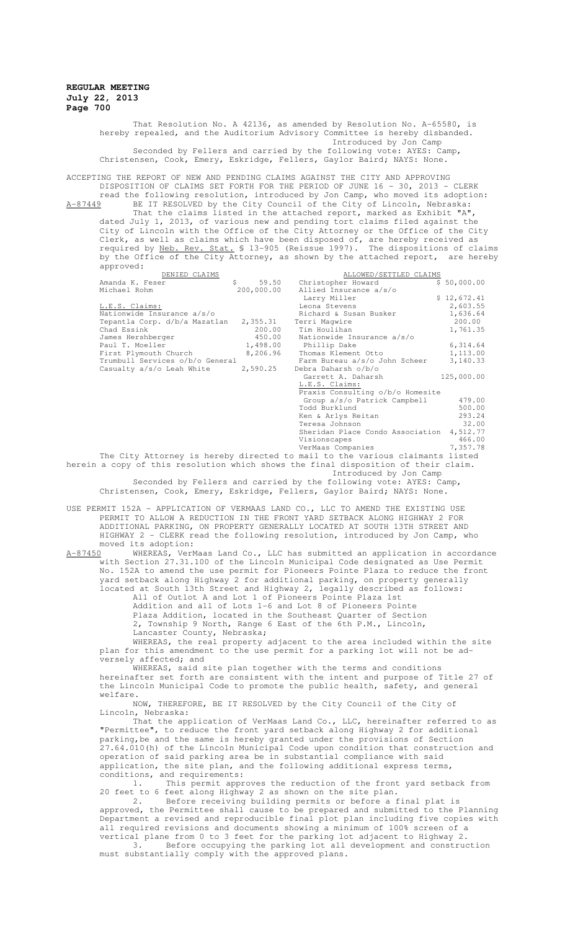That Resolution No. A 42136, as amended by Resolution No. A-65580, is hereby repealed, and the Auditorium Advisory Committee is hereby disbanded. Introduced by Jon Camp Seconded by Fellers and carried by the following vote: AYES: Camp, Christensen, Cook, Emery, Eskridge, Fellers, Gaylor Baird; NAYS: None.

ACCEPTING THE REPORT OF NEW AND PENDING CLAIMS AGAINST THE CITY AND APPROVING DISPOSITION OF CLAIMS SET FORTH FOR THE PERIOD OF JUNE 16 - 30, 2013 - CLERK read the following resolution, introduced by Jon Camp, who moved its adoption:

A-87449 BE IT RESOLVED by the City Council of the City of Lincoln, Nebraska: That the claims listed in the attached report, marked as Exhibit "A", dated July 1, 2013, of various new and pending tort claims filed against the City of Lincoln with the Office of the City Attorney or the Office of the City Clerk, as well as claims which have been disposed of, are hereby received as required by Neb. Rev. Stat. § 13-905 (Reissue 1997). The dispositions of claims by the Office of the City Attorney, as shown by the attached report, are hereby approved:

|                                                                                  | DENIED CLAIMS                                                                                                                                |             | ALLOWED/SETTLED CLAIMS                                                             |             |  |
|----------------------------------------------------------------------------------|----------------------------------------------------------------------------------------------------------------------------------------------|-------------|------------------------------------------------------------------------------------|-------------|--|
|                                                                                  | Amanda K. Feser                                                                                                                              | $S$ and $S$ | 59.50 Christopher Howard                                                           | \$50.000.00 |  |
|                                                                                  | Michael Rohm                                                                                                                                 | 200,000.00  | Allied Insurance a/s/o                                                             |             |  |
|                                                                                  |                                                                                                                                              |             | Larry Miller                                                                       | \$12,672.41 |  |
|                                                                                  | L.E.S. Claims:                                                                                                                               |             | Leona Stevens                                                                      | 2,603.55    |  |
|                                                                                  | Nationwide Insurance a/s/o                                                                                                                   |             | Richard & Susan Busker                                                             | 1,636.64    |  |
|                                                                                  | Tepantla Corp. d/b/a Mazatlan 2,355.31                                                                                                       |             | Terri Maqwire                                                                      | 200.00      |  |
|                                                                                  | Chad Essink                                                                                                                                  | 200.00      | Tim Houlihan                                                                       | 1,761.35    |  |
|                                                                                  | James Hershberger                                                                                                                            | 450.00      | Nationwide Insurance a/s/o                                                         |             |  |
|                                                                                  | Paul T. Moeller                                                                                                                              |             | 1,498.00 Phillip Dake                                                              | 6,314.64    |  |
|                                                                                  | First Plymouth Church                                                                                                                        | 8,206.96    | Thomas Klement Otto                                                                | 1,113.00    |  |
|                                                                                  | Trumbull Services o/b/o General                                                                                                              |             | Farm Bureau a/s/o John Scheer                                                      | 3,140.33    |  |
|                                                                                  | Casualty a/s/o Leah White                                                                                                                    | 2,590.25    | Debra Daharsh o/b/o                                                                |             |  |
|                                                                                  |                                                                                                                                              |             | Garrett A. Daharsh                                                                 | 125,000.00  |  |
|                                                                                  |                                                                                                                                              |             | L.E.S. Claims:                                                                     |             |  |
|                                                                                  |                                                                                                                                              |             | Praxis Consulting o/b/o Homesite                                                   |             |  |
|                                                                                  |                                                                                                                                              |             | Group a/s/o Patrick Campbell                                                       | 479.00      |  |
|                                                                                  |                                                                                                                                              |             | Todd Burklund                                                                      | 500.00      |  |
|                                                                                  |                                                                                                                                              |             | Ken & Arlys Reitan                                                                 | 293.24      |  |
|                                                                                  |                                                                                                                                              |             | Teresa Johnson                                                                     | 32.00       |  |
|                                                                                  |                                                                                                                                              |             | Sheridan Place Condo Association 4,512.77                                          |             |  |
|                                                                                  |                                                                                                                                              |             | Visionscapes                                                                       | 466.00      |  |
|                                                                                  |                                                                                                                                              |             | VerMaas Companies                                                                  | 7,357.78    |  |
|                                                                                  |                                                                                                                                              |             | The City Attorney is hereby directed to mail to the various claimants listed       |             |  |
|                                                                                  |                                                                                                                                              |             | herein a copy of this resolution which shows the final disposition of their claim. |             |  |
|                                                                                  |                                                                                                                                              |             | Introduced by Jon Camp                                                             |             |  |
|                                                                                  |                                                                                                                                              |             |                                                                                    |             |  |
|                                                                                  | Seconded by Fellers and carried by the following vote: AYES: Camp,<br>Christensen, Cook, Emery, Eskridge, Fellers, Gaylor Baird; NAYS: None. |             |                                                                                    |             |  |
|                                                                                  |                                                                                                                                              |             |                                                                                    |             |  |
|                                                                                  |                                                                                                                                              |             |                                                                                    |             |  |
| USE PERMIT 152A - APPLICATION OF VERMAAS LAND CO., LLC TO AMEND THE EXISTING USE |                                                                                                                                              |             |                                                                                    |             |  |
| PERMIT TO ALLOW A REDUCTION IN THE FRONT YARD SETBACK ALONG HIGHWAY 2 FOR        |                                                                                                                                              |             |                                                                                    |             |  |

ADDITIONAL PARKING, ON PROPERTY GENERALLY LOCATED AT SOUTH 13TH STREET AND HIGHWAY 2 - CLERK read the following resolution, introduced by Jon Camp, who moved its adoption:<br>A-87450 WHEREAS. VerM

A-87450 WHEREAS, VerMaas Land Co., LLC has submitted an application in accordance with Section 27.31.100 of the Lincoln Municipal Code designated as Use Permit No. 152A to amend the use permit for Pioneers Pointe Plaza to reduce the front yard setback along Highway 2 for additional parking, on property generally located at South 13th Street and Highway 2, legally described as follows:

All of Outlot A and Lot 1 of Pioneers Pointe Plaza 1st Addition and all of Lots 1-6 and Lot 8 of Pioneers Pointe Plaza Addition, located in the Southeast Quarter of Section 2, Township 9 North, Range 6 East of the 6th P.M., Lincoln, Lancaster County, Nebraska;

WHEREAS, the real property adjacent to the area included within the site plan for this amendment to the use permit for a parking lot will not be adversely affected; and

WHEREAS, said site plan together with the terms and conditions hereinafter set forth are consistent with the intent and purpose of Title 27 of the Lincoln Municipal Code to promote the public health, safety, and general welfare.

NOW, THEREFORE, BE IT RESOLVED by the City Council of the City of Lincoln, Nebraska:

That the application of VerMaas Land Co., LLC, hereinafter referred to as "Permittee", to reduce the front yard setback along Highway 2 for additional parking,be and the same is hereby granted under the provisions of Section 27.64.010(h) of the Lincoln Municipal Code upon condition that construction and operation of said parking area be in substantial compliance with said application, the site plan, and the following additional express terms, conditions, and requirements:

1. This permit approves the reduction of the front yard setback from 20 feet to 6 feet along Highway 2 as shown on the site plan.

2. Before receiving building permits or before a final plat is approved, the Permittee shall cause to be prepared and submitted to the Planning Department a revised and reproducible final plot plan including five copies with all required revisions and documents showing a minimum of 100% screen of a vertical plane from 0 to 3 feet for the parking lot adjacent to Highway

3. Before occupying the parking lot all development and construction must substantially comply with the approved plans.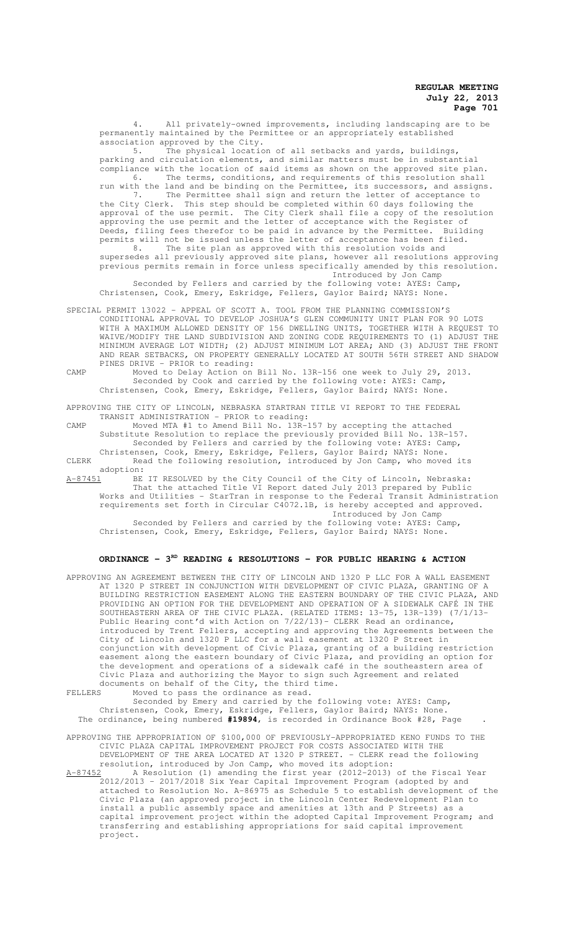All privately-owned improvements, including landscaping are to be permanently maintained by the Permittee or an appropriately established association approved by the City.

5. The physical location of all setbacks and yards, buildings, parking and circulation elements, and similar matters must be in substantial compliance with the location of said items as shown on the approved site plan. 6. The terms, conditions, and requirements of this resolution shall run with the land and be binding on the Permittee, its successors, and assigns. 7. The Permittee shall sign and return the letter of acceptance to<br>the City Clerk. This step should be completed within 60 days following the This step should be completed within 60 days following the approval of the use permit. The City Clerk shall file a copy of the resolution approving the use permit and the letter of acceptance with the Register of Deeds, filing fees therefor to be paid in advance by the Permittee. Building permits will not be issued unless the letter of acceptance has been filed. 8. The site plan as approved with this resolution voids and supersedes all previously approved site plans, however all resolutions approving previous permits remain in force unless specifically amended by this resolution.

Introduced by Jon Camp Seconded by Fellers and carried by the following vote: AYES: Camp, Christensen, Cook, Emery, Eskridge, Fellers, Gaylor Baird; NAYS: None.

- SPECIAL PERMIT 13022 APPEAL OF SCOTT A. TOOL FROM THE PLANNING COMMISSION'S CONDITIONAL APPROVAL TO DEVELOP JOSHUA'S GLEN COMMUNITY UNIT PLAN FOR 90 LOTS WITH A MAXIMUM ALLOWED DENSITY OF 156 DWELLING UNITS, TOGETHER WITH A REQUEST TO WAIVE/MODIFY THE LAND SUBDIVISION AND ZONING CODE REQUIREMENTS TO (1) ADJUST THE MINIMUM AVERAGE LOT WIDTH; (2) ADJUST MINIMUM LOT AREA; AND (3) ADJUST THE FRONT AND REAR SETBACKS, ON PROPERTY GENERALLY LOCATED AT SOUTH 56TH STREET AND SHADOW PINES DRIVE - PRIOR to reading:
- CAMP Moved to Delay Action on Bill No. 13R-156 one week to July 29, 2013. Seconded by Cook and carried by the following vote: AYES: Camp, Christensen, Cook, Emery, Eskridge, Fellers, Gaylor Baird; NAYS: None.

APPROVING THE CITY OF LINCOLN, NEBRASKA STARTRAN TITLE VI REPORT TO THE FEDERAL TRANSIT ADMINISTRATION - PRIOR to reading:

CAMP Moved MTA #1 to Amend Bill No. 13R-157 by accepting the attached Substitute Resolution to replace the previously provided Bill No. 13R-157. Seconded by Fellers and carried by the following vote: AYES: Camp, Christensen, Cook, Emery, Eskridge, Fellers, Gaylor Baird; NAYS: None.

CLERK Read the following resolution, introduced by Jon Camp, who moved its adoption:

A-87451 BE IT RESOLVED by the City Council of the City of Lincoln, Nebraska: That the attached Title VI Report dated July 2013 prepared by Public Works and Utilities - StarTran in response to the Federal Transit Administration requirements set forth in Circular C4072.1B, is hereby accepted and approved. Introduced by Jon Camp Seconded by Fellers and carried by the following vote: AYES: Camp, Christensen, Cook, Emery, Eskridge, Fellers, Gaylor Baird; NAYS: None.

## **ORDINANCE - 3RD READING & RESOLUTIONS - FOR PUBLIC HEARING & ACTION**

APPROVING AN AGREEMENT BETWEEN THE CITY OF LINCOLN AND 1320 P LLC FOR A WALL EASEMENT AT 1320 P STREET IN CONJUNCTION WITH DEVELOPMENT OF CIVIC PLAZA, GRANTING OF A BUILDING RESTRICTION EASEMENT ALONG THE EASTERN BOUNDARY OF THE CIVIC PLAZA, PROVIDING AN OPTION FOR THE DEVELOPMENT AND OPERATION OF A SIDEWALK CAFÉ IN THE SOUTHEASTERN AREA OF THE CIVIC PLAZA. (RELATED ITEMS: 13-75, 13R-139) (7/1/13- Public Hearing cont'd with Action on 7/22/13)- CLERK Read an ordinance, introduced by Trent Fellers, accepting and approving the Agreements between the City of Lincoln and 1320 P LLC for a wall easement at 1320 P Street in conjunction with development of Civic Plaza, granting of a building restriction easement along the eastern boundary of Civic Plaza, and providing an option for the development and operations of a sidewalk café in the southeastern area of Civic Plaza and authorizing the Mayor to sign such Agreement and related documents on behalf of the City, the third time.<br>FELLERS Moved to pass the ordinance as read

Moved to pass the ordinance as read.

Seconded by Emery and carried by the following vote: AYES: Camp, Christensen, Cook, Emery, Eskridge, Fellers, Gaylor Baird; NAYS: None. The ordinance, being numbered **#19894**, is recorded in Ordinance Book #28, Page .

APPROVING THE APPROPRIATION OF \$100,000 OF PREVIOUSLY-APPROPRIATED KENO FUNDS TO THE CIVIC PLAZA CAPITAL IMPROVEMENT PROJECT FOR COSTS ASSOCIATED WITH THE DEVELOPMENT OF THE AREA LOCATED AT 1320 P STREET. - CLERK read the following

resolution, introduced by Jon Camp, who moved its adoption:<br>2 A Resolution (1) amending the first year (2012-2013) of the Fiscal Year A-87452 A Resolution (1) amending the first year (2012-2013) of the Fiscal Year 2012/2013 - 2017/2018 Six Year Capital Improvement Program (adopted by and attached to Resolution No. A-86975 as Schedule 5 to establish development of the Civic Plaza (an approved project in the Lincoln Center Redevelopment Plan to install a public assembly space and amenities at 13th and P Streets) as a capital improvement project within the adopted Capital Improvement Program; and transferring and establishing appropriations for said capital improvement project.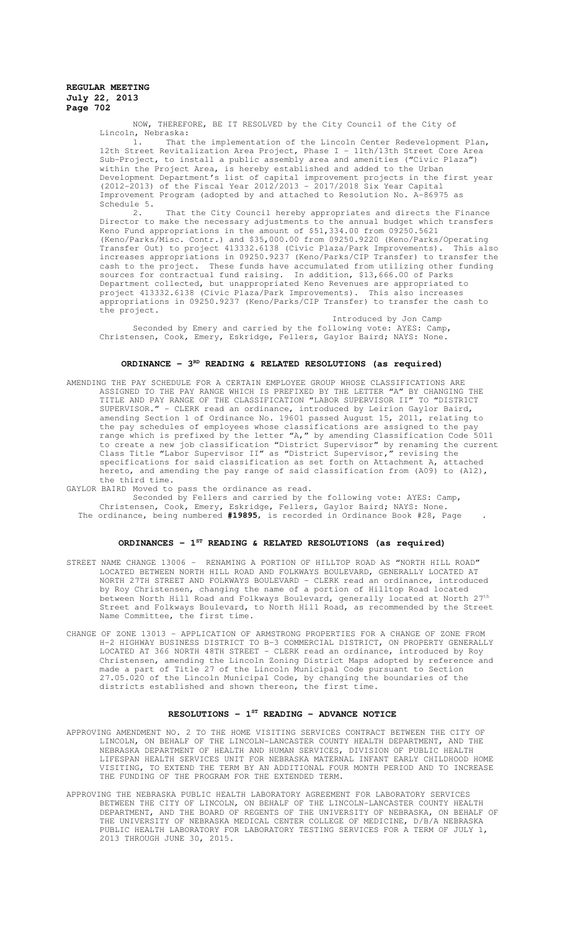NOW, THEREFORE, BE IT RESOLVED by the City Council of the City of Lincoln, Nebraska:

That the implementation of the Lincoln Center Redevelopment Plan, 12th Street Revitalization Area Project, Phase I - 11th/13th Street Core Area Sub-Project, to install a public assembly area and amenities ("Civic Plaza") within the Project Area, is hereby established and added to the Urban Development Department's list of capital improvement projects in the first year (2012-2013) of the Fiscal Year 2012/2013 - 2017/2018 Six Year Capital Improvement Program (adopted by and attached to Resolution No. A-86975 as Schedule  $5.$ <br>2.

That the City Council hereby appropriates and directs the Finance Director to make the necessary adjustments to the annual budget which transfers Keno Fund appropriations in the amount of \$51,334.00 from 09250.5621 (Keno/Parks/Misc. Contr.) and \$35,000.00 from 09250.9220 (Keno/Parks/Operating Transfer Out) to project 413332.6138 (Civic Plaza/Park Improvements). This also increases appropriations in 09250.9237 (Keno/Parks/CIP Transfer) to transfer the cash to the project. These funds have accumulated from utilizing other funding sources for contractual fund raising. In addition, \$13,666.00 of Parks Department collected, but unappropriated Keno Revenues are appropriated to project 413332.6138 (Civic Plaza/Park Improvements). This also increases appropriations in 09250.9237 (Keno/Parks/CIP Transfer) to transfer the cash to the project.

Introduced by Jon Camp Seconded by Emery and carried by the following vote: AYES: Camp, Christensen, Cook, Emery, Eskridge, Fellers, Gaylor Baird; NAYS: None.

# ORDINANCE - 3<sup>RD</sup> READING & RELATED RESOLUTIONS (as required)

AMENDING THE PAY SCHEDULE FOR A CERTAIN EMPLOYEE GROUP WHOSE CLASSIFICATIONS ARE<br>ASSIGNED TO THE PAY RANGE WHICH IS PREFIXED BY THE LETTER "A" BY CHANGING THE ASSIGNED TO THE PAY RANGE WHICH IS PREFIXED BY THE LETTER "A" TITLE AND PAY RANGE OF THE CLASSIFICATION "LABOR SUPERVISOR II" TO "DISTRICT SUPERVISOR." - CLERK read an ordinance, introduced by Leirion Gaylor Baird, amending Section 1 of Ordinance No. 19601 passed August 15, 2011, relating to the pay schedules of employees whose classifications are assigned to the pay range which is prefixed by the letter  $n_A$ , by amending Classification Code 5011 to create a new job classification "District Supervisor" by renaming the current Class Title "Labor Supervisor II" as "District Supervisor," revising the specifications for said classification as set forth on Attachment A, attached hereto, and amending the pay range of said classification from (A09) to (A12), the third time.

GAYLOR BAIRD Moved to pass the ordinance as read.

Seconded by Fellers and carried by the following vote: AYES: Camp, Christensen, Cook, Emery, Eskridge, Fellers, Gaylor Baird; NAYS: None.

The ordinance, being numbered **#19895**, is recorded in Ordinance Book #28, Page .

# **ORDINANCES - 1ST READING & RELATED RESOLUTIONS (as required)**

- STREET NAME CHANGE 13006 RENAMING A PORTION OF HILLTOP ROAD AS "NORTH HILL ROAD" LOCATED BETWEEN NORTH HILL ROAD AND FOLKWAYS BOULEVARD, GENERALLY LOCATED AT NORTH 27TH STREET AND FOLKWAYS BOULEVARD - CLERK read an ordinance, introduced by Roy Christensen, changing the name of a portion of Hilltop Road located between North Hill Road and Folkways Boulevard, generally located at North  $27^{\rm th}$ Street and Folkways Boulevard, to North Hill Road, as recommended by the Street Name Committee, the first time.
- CHANGE OF ZONE 13013 APPLICATION OF ARMSTRONG PROPERTIES FOR A CHANGE OF ZONE FROM H-2 HIGHWAY BUSINESS DISTRICT TO B-3 COMMERCIAL DISTRICT, ON PROPERTY GENERALLY LOCATED AT 366 NORTH 48TH STREET - CLERK read an ordinance, introduced by Roy Christensen, amending the Lincoln Zoning District Maps adopted by reference and made a part of Title 27 of the Lincoln Municipal Code pursuant to Section 27.05.020 of the Lincoln Municipal Code, by changing the boundaries of the districts established and shown thereon, the first time.

#### **RESOLUTIONS - 1ST READING - ADVANCE NOTICE**

- APPROVING AMENDMENT NO. 2 TO THE HOME VISITING SERVICES CONTRACT BETWEEN THE CITY OF LINCOLN, ON BEHALF OF THE LINCOLN-LANCASTER COUNTY HEALTH DEPARTMENT, AND THE NERLTH NEALTH OF HEALTH AND HUMAN SERVICES, DIVISION OF PUBLIC HEALTH NEBRASKA DEPARTMENT OF HEALTH AND HUMAN SERVICES, DIVISION OF PUBLIC LIFESPAN HEALTH SERVICES UNIT FOR NEBRASKA MATERNAL INFANT EARLY CHILDHOOD HOME VISITING, TO EXTEND THE TERM BY AN ADDITIONAL FOUR MONTH PERIOD AND TO INCREASE THE FUNDING OF THE PROGRAM FOR THE EXTENDED TERM.
- APPROVING THE NEBRASKA PUBLIC HEALTH LABORATORY AGREEMENT FOR LABORATORY SERVICES BETWEEN THE CITY OF LINCOLN, ON BEHALF OF THE LINCOLN-LANCASTER COUNTY HEALTH DEPARTMENT, AND THE BOARD OF REGENTS OF THE UNIVERSITY OF NEBRASKA, ON BEHALF OF THE UNIVERSITY OF NEBRASKA MEDICAL CENTER COLLEGE OF MEDICINE, D/B/A NEBRASKA PUBLIC HEALTH LABORATORY FOR LABORATORY TESTING SERVICES FOR A TERM OF JULY 1, 2013 THROUGH JUNE 30, 2015.